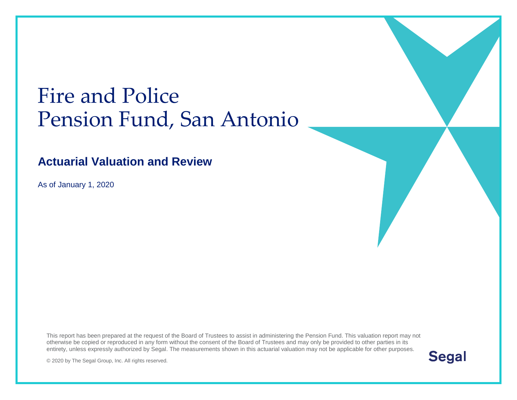# Fire and Police Pension Fund, San Antonio

#### **Actuarial Valuation and Review**

As of January 1, 2020

This report has been prepared at the request of the Board of Trustees to assist in administering the Pension Fund. This valuation report may not otherwise be copied or reproduced in any form without the consent of the Board of Trustees and may only be provided to other parties in its entirety, unless expressly authorized by Segal. The measurements shown in this actuarial valuation may not be applicable for other purposes.

**Segal** 

© 2020 by The Segal Group, Inc. All rights reserved.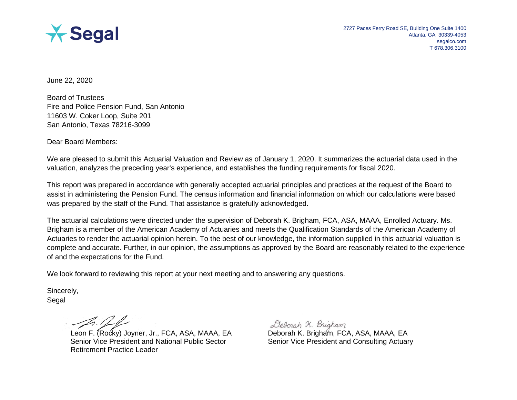

June 22, 2020

Board of Trustees Fire and Police Pension Fund, San Antonio 11603 W. Coker Loop, Suite 201 San Antonio, Texas 78216-3099

Dear Board Members:

We are pleased to submit this Actuarial Valuation and Review as of January 1, 2020. It summarizes the actuarial data used in the valuation, analyzes the preceding year's experience, and establishes the funding requirements for fiscal 2020.

This report was prepared in accordance with generally accepted actuarial principles and practices at the request of the Board to assist in administering the Pension Fund. The census information and financial information on which our calculations were based was prepared by the staff of the Fund. That assistance is gratefully acknowledged.

The actuarial calculations were directed under the supervision of Deborah K. Brigham, FCA, ASA, MAAA, Enrolled Actuary. Ms. Brigham is a member of the American Academy of Actuaries and meets the Qualification Standards of the American Academy of Actuaries to render the actuarial opinion herein. To the best of our knowledge, the information supplied in this actuarial valuation is complete and accurate. Further, in our opinion, the assumptions as approved by the Board are reasonably related to the experience of and the expectations for the Fund.

We look forward to reviewing this report at your next meeting and to answering any questions.

Sincerely, Segal

Leon F. (Rocky) Joyner, Jr., FCA, ASA, MAAA, EA Deborah K. Brigham, FCA, ASA, MAAA, EA Senior Vice President and National Public Sector Retirement Practice Leader

Deborah X. Brigham

Senior Vice President and Consulting Actuary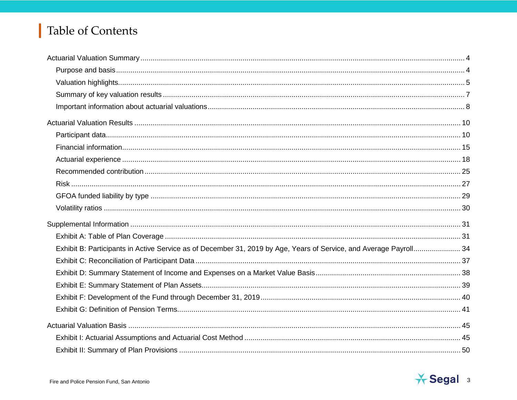# Table of Contents

| Exhibit B: Participants in Active Service as of December 31, 2019 by Age, Years of Service, and Average Payroll 34 |  |
|--------------------------------------------------------------------------------------------------------------------|--|
|                                                                                                                    |  |
|                                                                                                                    |  |
|                                                                                                                    |  |
|                                                                                                                    |  |
|                                                                                                                    |  |
|                                                                                                                    |  |
|                                                                                                                    |  |
|                                                                                                                    |  |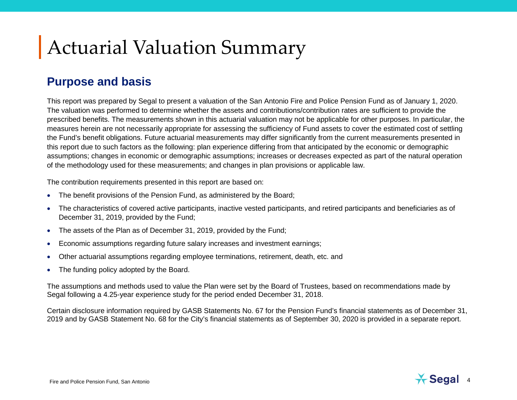# Actuarial Valuation Summary

#### **Purpose and basis**

This report was prepared by Segal to present a valuation of the San Antonio Fire and Police Pension Fund as of January 1, 2020. The valuation was performed to determine whether the assets and contributions/contribution rates are sufficient to provide the prescribed benefits. The measurements shown in this actuarial valuation may not be applicable for other purposes. In particular, the measures herein are not necessarily appropriate for assessing the sufficiency of Fund assets to cover the estimated cost of settling the Fund's benefit obligations. Future actuarial measurements may differ significantly from the current measurements presented in this report due to such factors as the following: plan experience differing from that anticipated by the economic or demographic assumptions; changes in economic or demographic assumptions; increases or decreases expected as part of the natural operation of the methodology used for these measurements; and changes in plan provisions or applicable law.

The contribution requirements presented in this report are based on:

- The benefit provisions of the Pension Fund, as administered by the Board;
- The characteristics of covered active participants, inactive vested participants, and retired participants and beneficiaries as of December 31, 2019, provided by the Fund;
- The assets of the Plan as of December 31, 2019, provided by the Fund;
- Economic assumptions regarding future salary increases and investment earnings;
- Other actuarial assumptions regarding employee terminations, retirement, death, etc. and
- The funding policy adopted by the Board.

The assumptions and methods used to value the Plan were set by the Board of Trustees, based on recommendations made by Segal following a 4.25-year experience study for the period ended December 31, 2018.

Certain disclosure information required by GASB Statements No. 67 for the Pension Fund's financial statements as of December 31, 2019 and by GASB Statement No. 68 for the City's financial statements as of September 30, 2020 is provided in a separate report.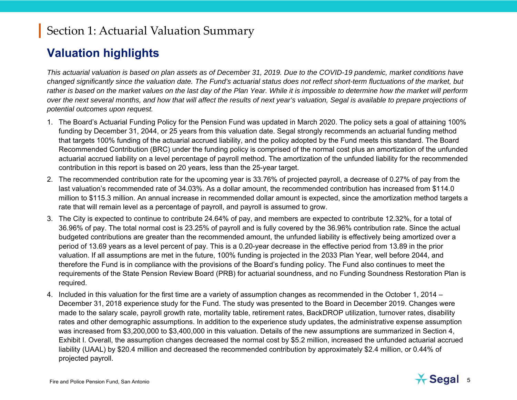#### **Valuation highlights**

*This actuarial valuation is based on plan assets as of December 31, 2019. Due to the COVID-19 pandemic, market conditions have changed significantly since the valuation date. The Fund's actuarial status does not reflect short-term fluctuations of the market, but rather is based on the market values on the last day of the Plan Year. While it is impossible to determine how the market will perform over the next several months, and how that will affect the results of next year's valuation, Segal is available to prepare projections of potential outcomes upon request.* 

- 1. The Board's Actuarial Funding Policy for the Pension Fund was updated in March 2020. The policy sets a goal of attaining 100% funding by December 31, 2044, or 25 years from this valuation date. Segal strongly recommends an actuarial funding method that targets 100% funding of the actuarial accrued liability, and the policy adopted by the Fund meets this standard. The Board Recommended Contribution (BRC) under the funding policy is comprised of the normal cost plus an amortization of the unfunded actuarial accrued liability on a level percentage of payroll method. The amortization of the unfunded liability for the recommended contribution in this report is based on 20 years, less than the 25-year target.
- 2. The recommended contribution rate for the upcoming year is 33.76% of projected payroll, a decrease of 0.27% of pay from the last valuation's recommended rate of 34.03%. As a dollar amount, the recommended contribution has increased from \$114.0 million to \$115.3 million. An annual increase in recommended dollar amount is expected, since the amortization method targets a rate that will remain level as a percentage of payroll, and payroll is assumed to grow.
- 3. The City is expected to continue to contribute 24.64% of pay, and members are expected to contribute 12.32%, for a total of 36.96% of pay. The total normal cost is 23.25% of payroll and is fully covered by the 36.96% contribution rate. Since the actual budgeted contributions are greater than the recommended amount, the unfunded liability is effectively being amortized over a period of 13.69 years as a level percent of pay. This is a 0.20-year decrease in the effective period from 13.89 in the prior valuation. If all assumptions are met in the future, 100% funding is projected in the 2033 Plan Year, well before 2044, and therefore the Fund is in compliance with the provisions of the Board's funding policy. The Fund also continues to meet the requirements of the State Pension Review Board (PRB) for actuarial soundness, and no Funding Soundness Restoration Plan is required.
- 4. Included in this valuation for the first time are a variety of assumption changes as recommended in the October 1, 2014 December 31, 2018 experience study for the Fund. The study was presented to the Board in December 2019. Changes were made to the salary scale, payroll growth rate, mortality table, retirement rates, BackDROP utilization, turnover rates, disability rates and other demographic assumptions. In addition to the experience study updates, the administrative expense assumption was increased from \$3,200,000 to \$3,400,000 in this valuation. Details of the new assumptions are summarized in Section 4, Exhibit I. Overall, the assumption changes decreased the normal cost by \$5.2 million, increased the unfunded actuarial accrued liability (UAAL) by \$20.4 million and decreased the recommended contribution by approximately \$2.4 million, or 0.44% of projected payroll.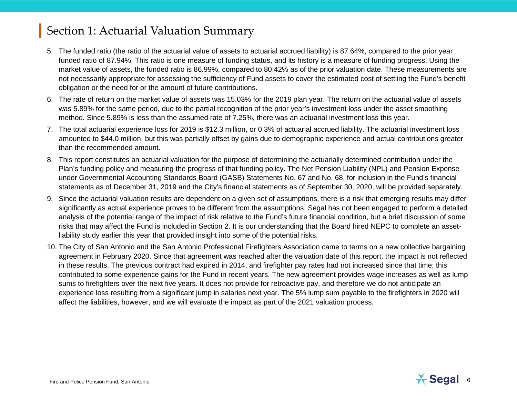- 5. The funded ratio (the ratio of the actuarial value of assets to actuarial accrued liability) is 87.64%, compared to the prior year funded ratio of 87.94%. This ratio is one measure of funding status, and its history is a measure of funding progress. Using the market value of assets, the funded ratio is 86.99%, compared to 80.42% as of the prior valuation date. These measurements are not necessarily appropriate for assessing the sufficiency of Fund assets to cover the estimated cost of settling the Fund's benefit obligation or the need for or the amount of future contributions.
- 6. The rate of return on the market value of assets was 15.03% for the 2019 plan year. The return on the actuarial value of assets was 5.89% for the same period, due to the partial recognition of the prior year's investment loss under the asset smoothing method. Since 5.89% is less than the assumed rate of 7.25%, there was an actuarial investment loss this year.
- 7. The total actuarial experience loss for 2019 is \$12.3 million, or 0.3% of actuarial accrued liability. The actuarial investment loss amounted to \$44.0 million, but this was partially offset by gains due to demographic experience and actual contributions greater than the recommended amount.
- 8. This report constitutes an actuarial valuation for the purpose of determining the actuarially determined contribution under the Plan's funding policy and measuring the progress of that funding policy. The Net Pension Liability (NPL) and Pension Expense under Governmental Accounting Standards Board (GASB) Statements No. 67 and No. 68, for inclusion in the Fund's financial statements as of December 31, 2019 and the City's financial statements as of September 30, 2020, will be provided separately.
- 9. Since the actuarial valuation results are dependent on a given set of assumptions, there is a risk that emerging results may differ significantly as actual experience proves to be different from the assumptions. Segal has not been engaged to perform a detailed analysis of the potential range of the impact of risk relative to the Fund's future financial condition, but a brief discussion of some risks that may affect the Fund is included in Section 2. It is our understanding that the Board hired NEPC to complete an assetliability study earlier this year that provided insight into some of the potential risks.
- 10. The City of San Antonio and the San Antonio Professional Firefighters Association came to terms on a new collective bargaining agreement in February 2020. Since that agreement was reached after the valuation date of this report, the impact is not reflected in these results. The previous contract had expired in 2014, and firefighter pay rates had not increased since that time; this contributed to some experience gains for the Fund in recent years. The new agreement provides wage increases as well as lump sums to firefighters over the next five years. It does not provide for retroactive pay, and therefore we do not anticipate an experience loss resulting from a significant jump in salaries next year. The 5% lump sum payable to the firefighters in 2020 will affect the liabilities, however, and we will evaluate the impact as part of the 2021 valuation process.

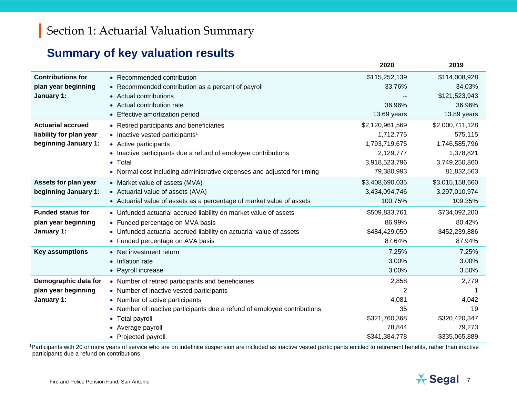## **Summary of key valuation results**

|                          |                                                                          | 2020            | 2019            |
|--------------------------|--------------------------------------------------------------------------|-----------------|-----------------|
| <b>Contributions for</b> | • Recommended contribution                                               | \$115,252,139   | \$114,008,928   |
| plan year beginning      | • Recommended contribution as a percent of payroll                       | 33.76%          | 34.03%          |
| January 1:               | • Actual contributions                                                   |                 | \$121,523,943   |
|                          | • Actual contribution rate                                               | 36.96%          | 36.96%          |
|                          | • Effective amortization period                                          | 13.69 years     | 13.89 years     |
| <b>Actuarial accrued</b> | • Retired participants and beneficiaries                                 | \$2,120,961,569 | \$2,000,711,128 |
| liability for plan year  | • Inactive vested participants <sup>1</sup>                              | 1,712,775       | 575,115         |
| beginning January 1:     | • Active participants                                                    | 1,793,719,675   | 1,746,585,796   |
|                          | • Inactive participants due a refund of employee contributions           | 2,129,777       | 1,378,821       |
|                          | Total<br>$\bullet$                                                       | 3,918,523,796   | 3,749,250,860   |
|                          | • Normal cost including administrative expenses and adjusted for timing  | 79,380,993      | 81,832,563      |
| Assets for plan year     | • Market value of assets (MVA)                                           | \$3,408,690,035 | \$3,015,158,660 |
| beginning January 1:     | • Actuarial value of assets (AVA)                                        | 3,434,094,746   | 3,297,010,974   |
|                          | • Actuarial value of assets as a percentage of market value of assets    | 100.75%         | 109.35%         |
| <b>Funded status for</b> | • Unfunded actuarial accrued liability on market value of assets         | \$509,833,761   | \$734,092,200   |
| plan year beginning      | • Funded percentage on MVA basis                                         | 86.99%          | 80.42%          |
| January 1:               | • Unfunded actuarial accrued liability on actuarial value of assets      | \$484,429,050   | \$452,239,886   |
|                          | • Funded percentage on AVA basis                                         | 87.64%          | 87.94%          |
| <b>Key assumptions</b>   | • Net investment return                                                  | 7.25%           | 7.25%           |
|                          | • Inflation rate                                                         | 3.00%           | 3.00%           |
|                          | • Payroll increase                                                       | 3.00%           | 3.50%           |
| Demographic data for     | • Number of retired participants and beneficiaries                       | 2,858           | 2,779           |
| plan year beginning      | • Number of inactive vested participants                                 |                 |                 |
| January 1:               | • Number of active participants                                          | 4,081           | 4,042           |
|                          | • Number of inactive participants due a refund of employee contributions | 35              | 19              |
|                          | <b>Total payroll</b><br>$\bullet$                                        | \$321,760,368   | \$320,420,347   |
|                          | Average payroll                                                          | 78,844          | 79,273          |
|                          | • Projected payroll                                                      | \$341,384,778   | \$335,065,889   |

<sup>1</sup>Participants with 20 or more years of service who are on indefinite suspension are included as inactive vested participants entitled to retirement benefits, rather than inactive participants due a refund on contributions.

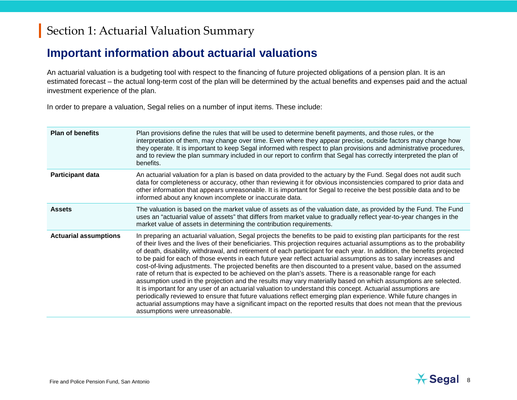#### **Important information about actuarial valuations**

An actuarial valuation is a budgeting tool with respect to the financing of future projected obligations of a pension plan. It is an estimated forecast – the actual long-term cost of the plan will be determined by the actual benefits and expenses paid and the actual investment experience of the plan.

In order to prepare a valuation, Segal relies on a number of input items. These include:

| <b>Plan of benefits</b>      | Plan provisions define the rules that will be used to determine benefit payments, and those rules, or the<br>interpretation of them, may change over time. Even where they appear precise, outside factors may change how<br>they operate. It is important to keep Segal informed with respect to plan provisions and administrative procedures,<br>and to review the plan summary included in our report to confirm that Segal has correctly interpreted the plan of<br>benefits.                                                                                                                                                                                                                                                                                                                                                                                                                                                                                                                                                                                                                                                                                                                                                             |
|------------------------------|------------------------------------------------------------------------------------------------------------------------------------------------------------------------------------------------------------------------------------------------------------------------------------------------------------------------------------------------------------------------------------------------------------------------------------------------------------------------------------------------------------------------------------------------------------------------------------------------------------------------------------------------------------------------------------------------------------------------------------------------------------------------------------------------------------------------------------------------------------------------------------------------------------------------------------------------------------------------------------------------------------------------------------------------------------------------------------------------------------------------------------------------------------------------------------------------------------------------------------------------|
| <b>Participant data</b>      | An actuarial valuation for a plan is based on data provided to the actuary by the Fund. Segal does not audit such<br>data for completeness or accuracy, other than reviewing it for obvious inconsistencies compared to prior data and<br>other information that appears unreasonable. It is important for Segal to receive the best possible data and to be<br>informed about any known incomplete or inaccurate data.                                                                                                                                                                                                                                                                                                                                                                                                                                                                                                                                                                                                                                                                                                                                                                                                                        |
| <b>Assets</b>                | The valuation is based on the market value of assets as of the valuation date, as provided by the Fund. The Fund<br>uses an "actuarial value of assets" that differs from market value to gradually reflect year-to-year changes in the<br>market value of assets in determining the contribution requirements.                                                                                                                                                                                                                                                                                                                                                                                                                                                                                                                                                                                                                                                                                                                                                                                                                                                                                                                                |
| <b>Actuarial assumptions</b> | In preparing an actuarial valuation, Segal projects the benefits to be paid to existing plan participants for the rest<br>of their lives and the lives of their beneficiaries. This projection requires actuarial assumptions as to the probability<br>of death, disability, withdrawal, and retirement of each participant for each year. In addition, the benefits projected<br>to be paid for each of those events in each future year reflect actuarial assumptions as to salary increases and<br>cost-of-living adjustments. The projected benefits are then discounted to a present value, based on the assumed<br>rate of return that is expected to be achieved on the plan's assets. There is a reasonable range for each<br>assumption used in the projection and the results may vary materially based on which assumptions are selected.<br>It is important for any user of an actuarial valuation to understand this concept. Actuarial assumptions are<br>periodically reviewed to ensure that future valuations reflect emerging plan experience. While future changes in<br>actuarial assumptions may have a significant impact on the reported results that does not mean that the previous<br>assumptions were unreasonable. |

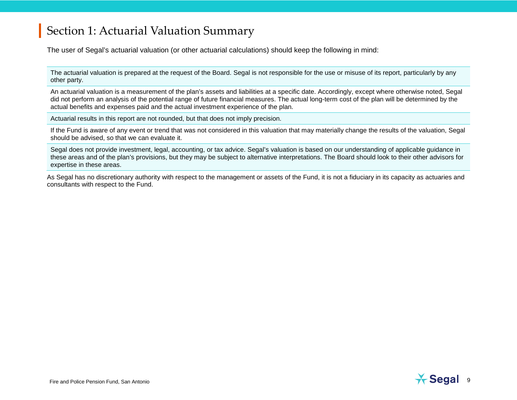The user of Segal's actuarial valuation (or other actuarial calculations) should keep the following in mind:

The actuarial valuation is prepared at the request of the Board. Segal is not responsible for the use or misuse of its report, particularly by any other party.

An actuarial valuation is a measurement of the plan's assets and liabilities at a specific date. Accordingly, except where otherwise noted, Segal did not perform an analysis of the potential range of future financial measures. The actual long-term cost of the plan will be determined by the actual benefits and expenses paid and the actual investment experience of the plan.

Actuarial results in this report are not rounded, but that does not imply precision.

If the Fund is aware of any event or trend that was not considered in this valuation that may materially change the results of the valuation, Segal should be advised, so that we can evaluate it.

Segal does not provide investment, legal, accounting, or tax advice. Segal's valuation is based on our understanding of applicable guidance in these areas and of the plan's provisions, but they may be subject to alternative interpretations. The Board should look to their other advisors for expertise in these areas.

As Segal has no discretionary authority with respect to the management or assets of the Fund, it is not a fiduciary in its capacity as actuaries and consultants with respect to the Fund.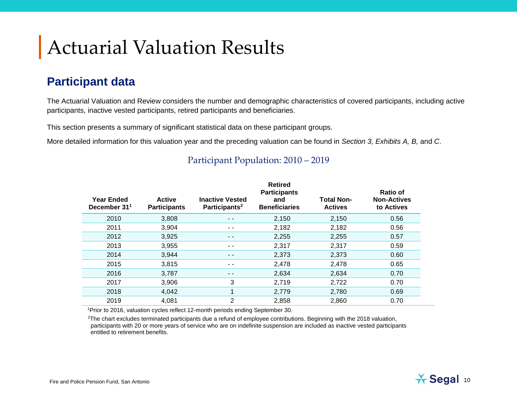# Actuarial Valuation Results

#### **Participant data**

The Actuarial Valuation and Review considers the number and demographic characteristics of covered participants, including active participants, inactive vested participants, retired participants and beneficiaries.

This section presents a summary of significant statistical data on these participant groups.

More detailed information for this valuation year and the preceding valuation can be found in *Section 3, Exhibits A, B,* and *C*.

| <b>Year Ended</b><br>December 31 <sup>1</sup> | <b>Active</b><br><b>Participants</b> | <b>Inactive Vested</b><br>Participants <sup>2</sup> | <b>Retired</b><br><b>Participants</b><br>and<br><b>Beneficiaries</b> | <b>Total Non-</b><br><b>Actives</b> | Ratio of<br><b>Non-Actives</b><br>to Actives |
|-----------------------------------------------|--------------------------------------|-----------------------------------------------------|----------------------------------------------------------------------|-------------------------------------|----------------------------------------------|
| 2010                                          | 3,808                                | - -                                                 | 2,150                                                                | 2,150                               | 0.56                                         |
| 2011                                          | 3,904                                | - -                                                 | 2,182                                                                | 2,182                               | 0.56                                         |
| 2012                                          | 3,925                                | $ -$                                                | 2,255                                                                | 2,255                               | 0.57                                         |
| 2013                                          | 3,955                                | $ -$                                                | 2,317                                                                | 2,317                               | 0.59                                         |
| 2014                                          | 3,944                                | - -                                                 | 2,373                                                                | 2,373                               | 0.60                                         |
| 2015                                          | 3,815                                | - -                                                 | 2,478                                                                | 2,478                               | 0.65                                         |
| 2016                                          | 3,787                                | $ -$                                                | 2,634                                                                | 2,634                               | 0.70                                         |
| 2017                                          | 3,906                                | 3                                                   | 2,719                                                                | 2,722                               | 0.70                                         |
| 2018                                          | 4,042                                |                                                     | 2,779                                                                | 2,780                               | 0.69                                         |
| 2019                                          | 4,081                                | 2                                                   | 2,858                                                                | 2,860                               | 0.70                                         |

#### Participant Population: 2010 – 2019

1Prior to 2016, valuation cycles reflect 12-month periods ending September 30.

2The chart excludes terminated participants due a refund of employee contributions. Beginning with the 2018 valuation, participants with 20 or more years of service who are on indefinite suspension are included as inactive vested participants entitled to retirement benefits.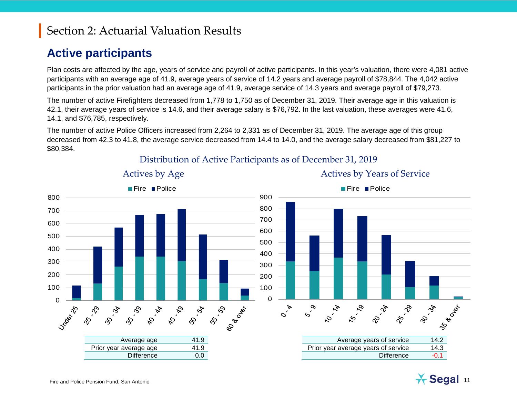#### **Active participants**

Plan costs are affected by the age, years of service and payroll of active participants. In this year's valuation, there were 4,081 active participants with an average age of 41.9, average years of service of 14.2 years and average payroll of \$78,844. The 4,042 active participants in the prior valuation had an average age of 41.9, average service of 14.3 years and average payroll of \$79,273.

The number of active Firefighters decreased from 1,778 to 1,750 as of December 31, 2019. Their average age in this valuation is 42.1, their average years of service is 14.6, and their average salary is \$76,792. In the last valuation, these averages were 41.6, 14.1, and \$76,785, respectively.

The number of active Police Officers increased from 2,264 to 2,331 as of December 31, 2019. The average age of this group decreased from 42.3 to 41.8, the average service decreased from 14.4 to 14.0, and the average salary decreased from \$81,227 to \$80,384.



Distribution of Active Participants as of December 31, 2019

Actives by Age Actives by Years of Service

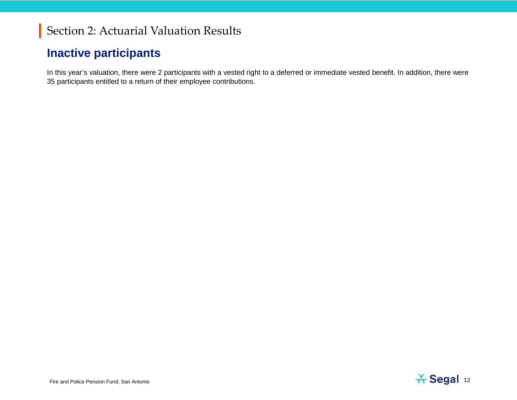#### **Inactive participants**

In this year's valuation, there were 2 participants with a vested right to a deferred or immediate vested benefit. In addition, there were 35 participants entitled to a return of their employee contributions.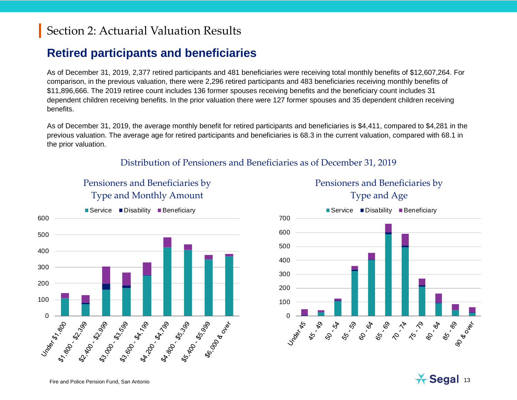### **Retired participants and beneficiaries**

As of December 31, 2019, 2,377 retired participants and 481 beneficiaries were receiving total monthly benefits of \$12,607,264. For comparison, in the previous valuation, there were 2,296 retired participants and 483 beneficiaries receiving monthly benefits of \$11,896,666. The 2019 retiree count includes 136 former spouses receiving benefits and the beneficiary count includes 31 dependent children receiving benefits. In the prior valuation there were 127 former spouses and 35 dependent children receiving benefits.

As of December 31, 2019, the average monthly benefit for retired participants and beneficiaries is \$4,411, compared to \$4,281 in the previous valuation. The average age for retired participants and beneficiaries is 68.3 in the current valuation, compared with 68.1 in the prior valuation.

#### Distribution of Pensioners and Beneficiaries as of December 31, 2019

#### Pensioners and Beneficiaries by Type and Monthly Amount





Pensioners and Beneficiaries by

Fire and Police Pension Fund, San Antonio **13 Auction Concernsion Concernsion** Fund, San Antonio 13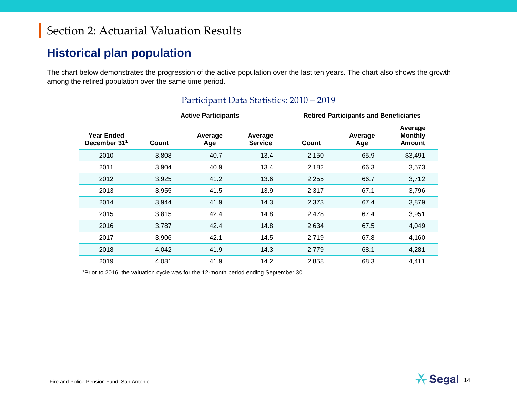#### **Historical plan population**

The chart below demonstrates the progression of the active population over the last ten years. The chart also shows the growth among the retired population over the same time period.

|                                               |       | <b>Active Participants</b> |                           | <b>Retired Participants and Beneficiaries</b> |                |                                     |  |
|-----------------------------------------------|-------|----------------------------|---------------------------|-----------------------------------------------|----------------|-------------------------------------|--|
| <b>Year Ended</b><br>December 31 <sup>1</sup> | Count | Average<br>Age             | Average<br><b>Service</b> | Count                                         | Average<br>Age | Average<br>Monthly<br><b>Amount</b> |  |
| 2010                                          | 3,808 | 40.7                       | 13.4                      | 2,150                                         | 65.9           | \$3,491                             |  |
| 2011                                          | 3,904 | 40.9                       | 13.4                      | 2,182                                         | 66.3           | 3,573                               |  |
| 2012                                          | 3,925 | 41.2                       | 13.6                      | 2,255                                         | 66.7           | 3,712                               |  |
| 2013                                          | 3,955 | 41.5                       | 13.9                      | 2,317                                         | 67.1           | 3,796                               |  |
| 2014                                          | 3,944 | 41.9                       | 14.3                      | 2,373                                         | 67.4           | 3,879                               |  |
| 2015                                          | 3,815 | 42.4                       | 14.8                      | 2,478                                         | 67.4           | 3,951                               |  |
| 2016                                          | 3,787 | 42.4                       | 14.8                      | 2,634                                         | 67.5           | 4,049                               |  |
| 2017                                          | 3,906 | 42.1                       | 14.5                      | 2,719                                         | 67.8           | 4,160                               |  |
| 2018                                          | 4,042 | 41.9                       | 14.3                      | 2,779                                         | 68.1           | 4,281                               |  |
| 2019                                          | 4,081 | 41.9                       | 14.2                      | 2,858                                         | 68.3           | 4,411                               |  |

#### Participant Data Statistics: 2010 – 2019

1Prior to 2016, the valuation cycle was for the 12-month period ending September 30.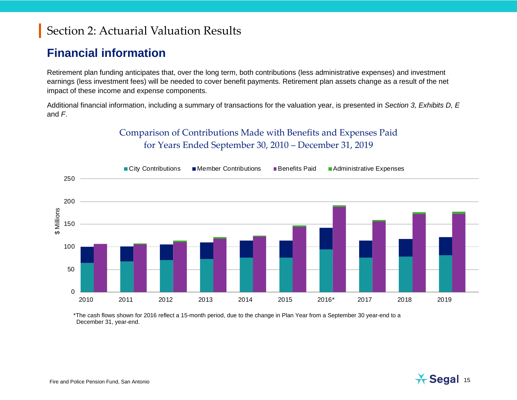#### **Financial information**

Retirement plan funding anticipates that, over the long term, both contributions (less administrative expenses) and investment earnings (less investment fees) will be needed to cover benefit payments. Retirement plan assets change as a result of the net impact of these income and expense components.

Additional financial information, including a summary of transactions for the valuation year, is presented in *Section 3, Exhibits D, E*  and *F*.





\*The cash flows shown for 2016 reflect a 15-month period, due to the change in Plan Year from a September 30 year-end to a December 31, year-end.

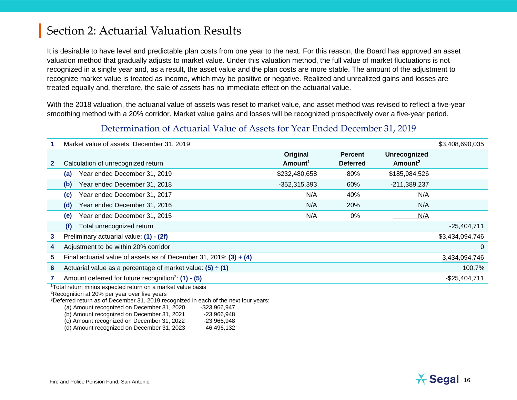It is desirable to have level and predictable plan costs from one year to the next. For this reason, the Board has approved an asset valuation method that gradually adjusts to market value. Under this valuation method, the full value of market fluctuations is not recognized in a single year and, as a result, the asset value and the plan costs are more stable. The amount of the adjustment to recognize market value is treated as income, which may be positive or negative. Realized and unrealized gains and losses are treated equally and, therefore, the sale of assets has no immediate effect on the actuarial value.

With the 2018 valuation, the actuarial value of assets was reset to market value, and asset method was revised to reflect a five-year smoothing method with a 20% corridor. Market value gains and losses will be recognized prospectively over a five-year period.

#### Determination of Actuarial Value of Assets for Year Ended December 31, 2019

|                                                                                                                                                                                                                                                                                                                                                                    | Market value of assets, December 31, 2019                            |                     |                 |                     | \$3,408,690,035 |  |
|--------------------------------------------------------------------------------------------------------------------------------------------------------------------------------------------------------------------------------------------------------------------------------------------------------------------------------------------------------------------|----------------------------------------------------------------------|---------------------|-----------------|---------------------|-----------------|--|
|                                                                                                                                                                                                                                                                                                                                                                    |                                                                      | Original            | <b>Percent</b>  | <b>Unrecognized</b> |                 |  |
| $\mathbf{2}$                                                                                                                                                                                                                                                                                                                                                       | Calculation of unrecognized return                                   | Amount <sup>1</sup> | <b>Deferred</b> | Amount <sup>2</sup> |                 |  |
|                                                                                                                                                                                                                                                                                                                                                                    | Year ended December 31, 2019<br>(a)                                  | \$232,480,658       | 80%             | \$185,984,526       |                 |  |
|                                                                                                                                                                                                                                                                                                                                                                    | Year ended December 31, 2018<br>(b)                                  | $-352,315,393$      | 60%             | $-211,389,237$      |                 |  |
|                                                                                                                                                                                                                                                                                                                                                                    | Year ended December 31, 2017<br>(c)                                  | N/A                 | 40%             | N/A                 |                 |  |
|                                                                                                                                                                                                                                                                                                                                                                    | Year ended December 31, 2016<br>(d)                                  | N/A                 | 20%             | N/A                 |                 |  |
|                                                                                                                                                                                                                                                                                                                                                                    | Year ended December 31, 2015<br>(e)                                  | N/A                 | 0%              | N/A                 |                 |  |
|                                                                                                                                                                                                                                                                                                                                                                    | Total unrecognized return<br>(f)                                     |                     |                 |                     | $-25,404,711$   |  |
| 3                                                                                                                                                                                                                                                                                                                                                                  | Preliminary actuarial value: (1) - (2f)                              |                     |                 |                     | \$3,434,094,746 |  |
| 4                                                                                                                                                                                                                                                                                                                                                                  | Adjustment to be within 20% corridor                                 |                     |                 |                     | 0               |  |
| 5.                                                                                                                                                                                                                                                                                                                                                                 | Final actuarial value of assets as of December 31, 2019: $(3) + (4)$ |                     |                 |                     | 3,434,094,746   |  |
| Actuarial value as a percentage of market value: $(5) \div (1)$<br>6                                                                                                                                                                                                                                                                                               |                                                                      |                     |                 |                     |                 |  |
|                                                                                                                                                                                                                                                                                                                                                                    | Amount deferred for future recognition <sup>3</sup> : $(1) - (5)$    |                     |                 |                     | $-$25,404,711$  |  |
| <sup>1</sup> Total return minus expected return on a market value basis<br><sup>2</sup> Recognition at 20% per year over five years<br><sup>3</sup> Deferred return as of December 31, 2019 recognized in each of the next four years:<br>(a) Amount recognized on December 31, 2020<br>-\$23,966,947<br>(b) Amount recognized on December 31, 2021<br>-23,966,948 |                                                                      |                     |                 |                     |                 |  |



 $(c)$  Amount recognized on December 31, 2022  $-23,966,948$ (d) Amount recognized on December 31, 2023 46,496,132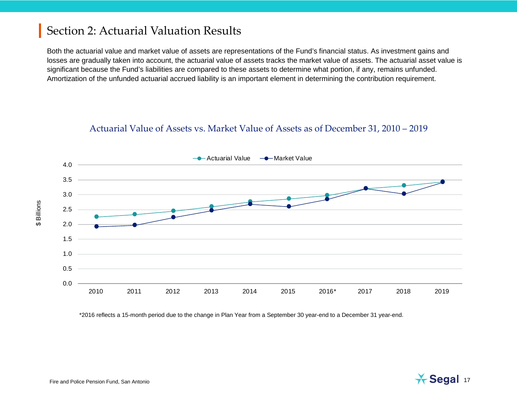Both the actuarial value and market value of assets are representations of the Fund's financial status. As investment gains and losses are gradually taken into account, the actuarial value of assets tracks the market value of assets. The actuarial asset value is significant because the Fund's liabilities are compared to these assets to determine what portion, if any, remains unfunded. Amortization of the unfunded actuarial accrued liability is an important element in determining the contribution requirement.

#### Actuarial Value of Assets vs. Market Value of Assets as of December 31, 2010 – 2019



\*2016 reflects a 15-month period due to the change in Plan Year from a September 30 year-end to a December 31 year-end.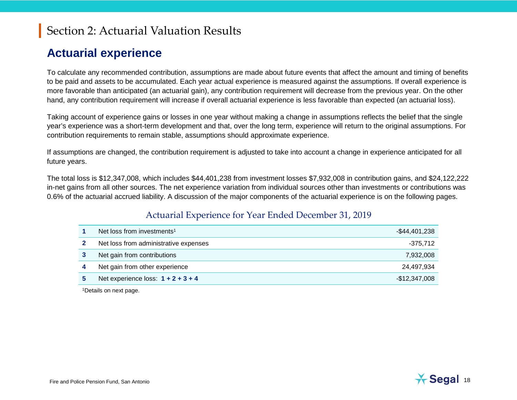#### **Actuarial experience**

To calculate any recommended contribution, assumptions are made about future events that affect the amount and timing of benefits to be paid and assets to be accumulated. Each year actual experience is measured against the assumptions. If overall experience is more favorable than anticipated (an actuarial gain), any contribution requirement will decrease from the previous year. On the other hand, any contribution requirement will increase if overall actuarial experience is less favorable than expected (an actuarial loss).

Taking account of experience gains or losses in one year without making a change in assumptions reflects the belief that the single year's experience was a short-term development and that, over the long term, experience will return to the original assumptions. For contribution requirements to remain stable, assumptions should approximate experience.

If assumptions are changed, the contribution requirement is adjusted to take into account a change in experience anticipated for all future years.

The total loss is \$12,347,008, which includes \$44,401,238 from investment losses \$7,932,008 in contribution gains, and \$24,122,222 in-net gains from all other sources. The net experience variation from individual sources other than investments or contributions was 0.6% of the actuarial accrued liability. A discussion of the major components of the actuarial experience is on the following pages.

#### Actuarial Experience for Year Ended December 31, 2019

| Net loss from investments <sup>1</sup> | -\$44,401,238  |
|----------------------------------------|----------------|
| Net loss from administrative expenses  | -375.712       |
| Net gain from contributions            | 7,932,008      |
| Net gain from other experience         | 24,497,934     |
| Net experience loss: $1 + 2 + 3 + 4$   | $-$12,347,008$ |

<sup>1</sup>Details on next page.

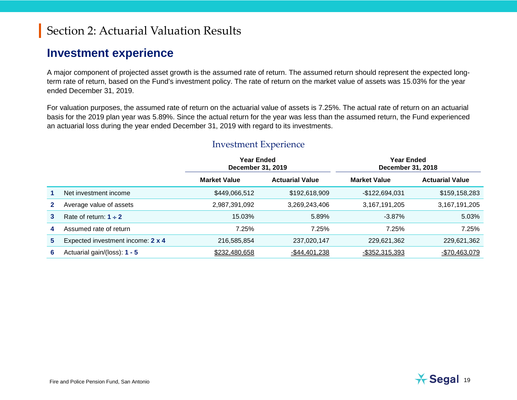#### **Investment experience**

A major component of projected asset growth is the assumed rate of return. The assumed return should represent the expected longterm rate of return, based on the Fund's investment policy. The rate of return on the market value of assets was 15.03% for the year ended December 31, 2019.

For valuation purposes, the assumed rate of return on the actuarial value of assets is 7.25%. The actual rate of return on an actuarial basis for the 2019 plan year was 5.89%. Since the actual return for the year was less than the assumed return, the Fund experienced an actuarial loss during the year ended December 31, 2019 with regard to its investments.

|    |                                   | <b>Year Ended</b><br><b>Year Ended</b><br>December 31, 2019 |                                               | December 31, 2018 |                        |  |  |
|----|-----------------------------------|-------------------------------------------------------------|-----------------------------------------------|-------------------|------------------------|--|--|
|    |                                   | <b>Market Value</b>                                         | <b>Actuarial Value</b><br><b>Market Value</b> |                   | <b>Actuarial Value</b> |  |  |
|    | Net investment income             | \$449,066,512                                               | \$192,618,909                                 | $-$122,694,031$   | \$159,158,283          |  |  |
|    | Average value of assets           | 2,987,391,092                                               | 3,269,243,406                                 | 3, 167, 191, 205  | 3,167,191,205          |  |  |
| 3  | Rate of return: $1 \div 2$        | 15.03%                                                      | 5.89%                                         | $-3.87\%$         | 5.03%                  |  |  |
| 4  | Assumed rate of return            | 7.25%                                                       | 7.25%                                         | 7.25%             | 7.25%                  |  |  |
| 5. | Expected investment income: 2 x 4 | 216,585,854                                                 | 237,020,147                                   | 229,621,362       | 229,621,362            |  |  |
| 6  | Actuarial gain/(loss): 1 - 5      | \$232,480,658                                               | $-$44,401,238$                                | $-$352,315,393$   | $-$70,463,079$         |  |  |

#### Investment Experience

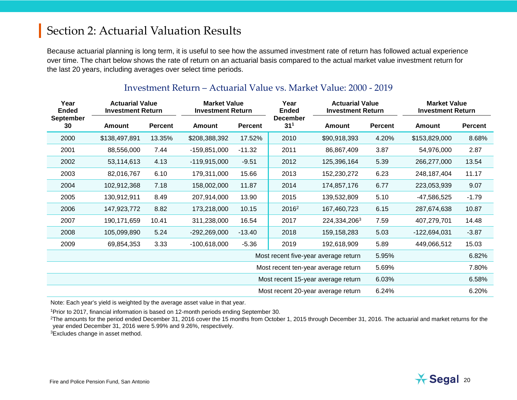Because actuarial planning is long term, it is useful to see how the assumed investment rate of return has followed actual experience over time. The chart below shows the rate of return on an actuarial basis compared to the actual market value investment return for the last 20 years, including averages over select time periods.

| Year<br><b>Ended</b>   |               | <b>Actuarial Value</b><br><b>Investment Return</b> |                | <b>Market Value</b><br><b>Investment Return</b> |                                      | Year<br><b>Actuarial Value</b><br><b>Investment Return</b><br><b>Ended</b> |                | <b>Market Value</b><br><b>Investment Return</b> |         |
|------------------------|---------------|----------------------------------------------------|----------------|-------------------------------------------------|--------------------------------------|----------------------------------------------------------------------------|----------------|-------------------------------------------------|---------|
| <b>September</b><br>30 | Amount        | <b>Percent</b>                                     | Amount         | <b>Percent</b>                                  | <b>December</b><br>31 <sup>1</sup>   | Amount                                                                     | <b>Percent</b> | Amount                                          | Percent |
| 2000                   | \$138,497,891 | 13.35%                                             | \$208,388,392  | 17.52%                                          | 2010                                 | \$90,918,393                                                               | 4.20%          | \$153,829,000                                   | 8.68%   |
| 2001                   | 88,556,000    | 7.44                                               | $-159,851,000$ | $-11.32$                                        | 2011                                 | 86,867,409                                                                 | 3.87           | 54,976,000                                      | 2.87    |
| 2002                   | 53,114,613    | 4.13                                               | $-119,915,000$ | $-9.51$                                         | 2012                                 | 125,396,164                                                                | 5.39           | 266,277,000                                     | 13.54   |
| 2003                   | 82,016,767    | 6.10                                               | 179,311,000    | 15.66                                           | 2013                                 | 152,230,272                                                                | 6.23           | 248, 187, 404                                   | 11.17   |
| 2004                   | 102,912,368   | 7.18                                               | 158,002,000    | 11.87                                           | 2014                                 | 174,857,176                                                                | 6.77           | 223,053,939                                     | 9.07    |
| 2005                   | 130,912,911   | 8.49                                               | 207,914,000    | 13.90                                           | 2015                                 | 139,532,809                                                                | 5.10           | -47,586,525                                     | $-1.79$ |
| 2006                   | 147,923,772   | 8.82                                               | 173,218,000    | 10.15                                           | 2016 <sup>2</sup>                    | 167,460,723                                                                | 6.15           | 287,674,638                                     | 10.87   |
| 2007                   | 190,171,659   | 10.41                                              | 311,238,000    | 16.54                                           | 2017                                 | 224,334,2063                                                               | 7.59           | 407,279,701                                     | 14.48   |
| 2008                   | 105,099,890   | 5.24                                               | $-292,269,000$ | $-13.40$                                        | 2018                                 | 159, 158, 283                                                              | 5.03           | -122,694,031                                    | $-3.87$ |
| 2009                   | 69,854,353    | 3.33                                               | $-100,618,000$ | $-5.36$                                         | 2019                                 | 192,618,909                                                                | 5.89           | 449,066,512                                     | 15.03   |
|                        |               |                                                    |                |                                                 | Most recent five-year average return |                                                                            | 5.95%          |                                                 | 6.82%   |
|                        |               |                                                    |                | Most recent ten-year average return             |                                      |                                                                            | 5.69%          |                                                 | 7.80%   |
|                        |               |                                                    |                |                                                 |                                      | Most recent 15-year average return                                         | 6.03%          |                                                 | 6.58%   |
|                        |               |                                                    |                | Most recent 20-year average return              |                                      | 6.24%                                                                      |                | 6.20%                                           |         |

#### Investment Return – Actuarial Value vs. Market Value: 2000 - 2019

Note: Each year's yield is weighted by the average asset value in that year.

1Prior to 2017, financial information is based on 12-month periods ending September 30.

<sup>2</sup>The amounts for the period ended December 31, 2016 cover the 15 months from October 1, 2015 through December 31, 2016. The actuarial and market returns for the year ended December 31, 2016 were 5.99% and 9.26%, respectively.

3Excludes change in asset method.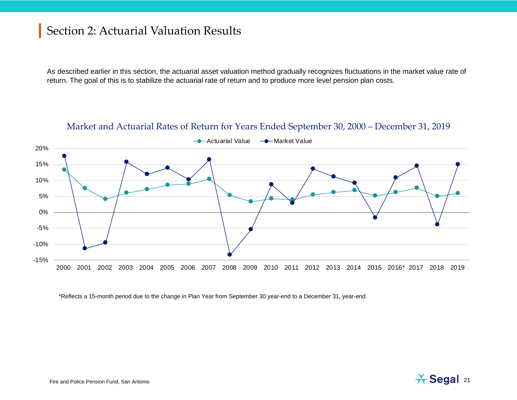As described earlier in this section, the actuarial asset valuation method gradually recognizes fluctuations in the market value rate of return. The goal of this is to stabilize the actuarial rate of return and to produce more level pension plan costs.

#### Market and Actuarial Rates of Return for Years Ended September 30, 2000 – December 31, 2019



\*Reflects a 15-month period due to the change in Plan Year from September 30 year-end to a December 31, year-end.

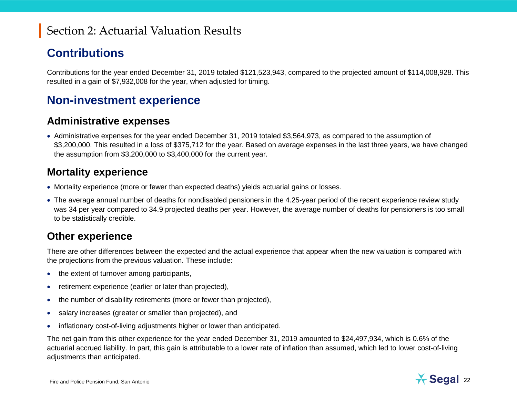#### **Contributions**

Contributions for the year ended December 31, 2019 totaled \$121,523,943, compared to the projected amount of \$114,008,928. This resulted in a gain of \$7,932,008 for the year, when adjusted for timing.

#### **Non-investment experience**

#### **Administrative expenses**

• Administrative expenses for the year ended December 31, 2019 totaled \$3,564,973, as compared to the assumption of \$3,200,000. This resulted in a loss of \$375,712 for the year. Based on average expenses in the last three years, we have changed the assumption from \$3,200,000 to \$3,400,000 for the current year.

#### **Mortality experience**

- Mortality experience (more or fewer than expected deaths) yields actuarial gains or losses.
- The average annual number of deaths for nondisabled pensioners in the 4.25-year period of the recent experience review study was 34 per year compared to 34.9 projected deaths per year. However, the average number of deaths for pensioners is too small to be statistically credible.

#### **Other experience**

There are other differences between the expected and the actual experience that appear when the new valuation is compared with the projections from the previous valuation. These include:

- the extent of turnover among participants,
- retirement experience (earlier or later than projected),
- the number of disability retirements (more or fewer than projected),
- salary increases (greater or smaller than projected), and
- inflationary cost-of-living adjustments higher or lower than anticipated.

The net gain from this other experience for the year ended December 31, 2019 amounted to \$24,497,934, which is 0.6% of the actuarial accrued liability. In part, this gain is attributable to a lower rate of inflation than assumed, which led to lower cost-of-living adjustments than anticipated.

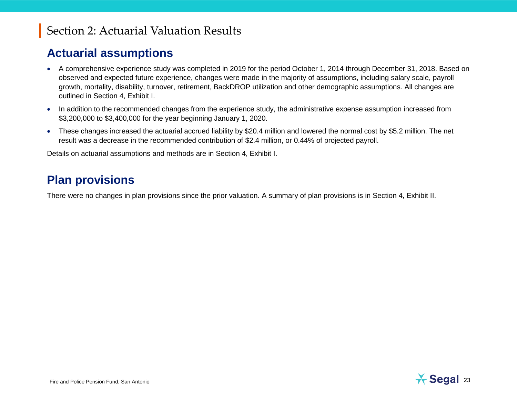#### **Actuarial assumptions**

- A comprehensive experience study was completed in 2019 for the period October 1, 2014 through December 31, 2018. Based on observed and expected future experience, changes were made in the majority of assumptions, including salary scale, payroll growth, mortality, disability, turnover, retirement, BackDROP utilization and other demographic assumptions. All changes are outlined in Section 4, Exhibit I.
- In addition to the recommended changes from the experience study, the administrative expense assumption increased from \$3,200,000 to \$3,400,000 for the year beginning January 1, 2020.
- These changes increased the actuarial accrued liability by \$20.4 million and lowered the normal cost by \$5.2 million. The net result was a decrease in the recommended contribution of \$2.4 million, or 0.44% of projected payroll.

Details on actuarial assumptions and methods are in Section 4, Exhibit I.

#### **Plan provisions**

There were no changes in plan provisions since the prior valuation. A summary of plan provisions is in Section 4, Exhibit II.

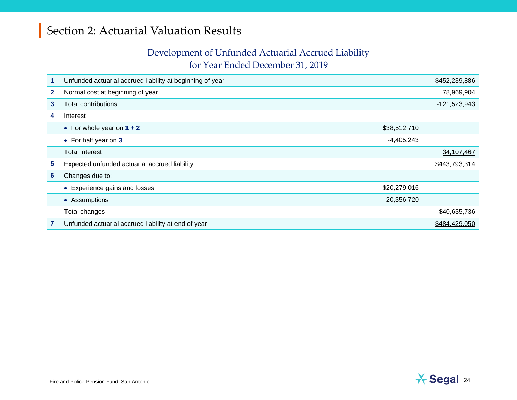#### Development of Unfunded Actuarial Accrued Liability

for Year Ended December 31, 2019

| 1            | Unfunded actuarial accrued liability at beginning of year |              | \$452,239,886  |
|--------------|-----------------------------------------------------------|--------------|----------------|
| $\mathbf{2}$ | Normal cost at beginning of year                          |              | 78,969,904     |
| 3            | <b>Total contributions</b>                                |              | $-121,523,943$ |
| 4            | Interest                                                  |              |                |
|              | • For whole year on $1 + 2$                               | \$38,512,710 |                |
|              | • For half year on 3                                      | $-4,405,243$ |                |
|              | <b>Total interest</b>                                     |              | 34,107,467     |
| 5            | Expected unfunded actuarial accrued liability             |              | \$443,793,314  |
| 6            | Changes due to:                                           |              |                |
|              | Experience gains and losses<br>$\bullet$                  | \$20,279,016 |                |
|              | • Assumptions                                             | 20,356,720   |                |
|              | Total changes                                             |              | \$40,635,736   |
|              | Unfunded actuarial accrued liability at end of year       |              | \$484,429,050  |

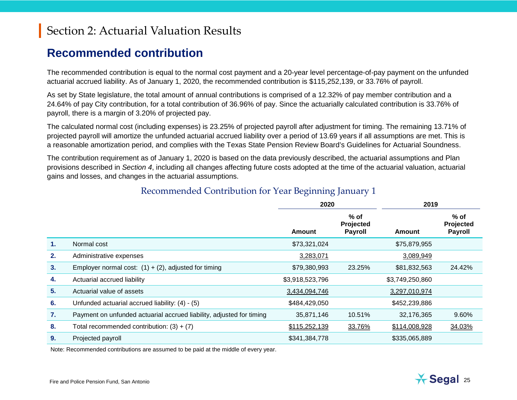#### **Recommended contribution**

The recommended contribution is equal to the normal cost payment and a 20-year level percentage-of-pay payment on the unfunded actuarial accrued liability. As of January 1, 2020, the recommended contribution is \$115,252,139, or 33.76% of payroll.

As set by State legislature, the total amount of annual contributions is comprised of a 12.32% of pay member contribution and a 24.64% of pay City contribution, for a total contribution of 36.96% of pay. Since the actuarially calculated contribution is 33.76% of payroll, there is a margin of 3.20% of projected pay.

The calculated normal cost (including expenses) is 23.25% of projected payroll after adjustment for timing. The remaining 13.71% of projected payroll will amortize the unfunded actuarial accrued liability over a period of 13.69 years if all assumptions are met. This is a reasonable amortization period, and complies with the Texas State Pension Review Board's Guidelines for Actuarial Soundness.

The contribution requirement as of January 1, 2020 is based on the data previously described, the actuarial assumptions and Plan provisions described in *Section 4*, including all changes affecting future costs adopted at the time of the actuarial valuation, actuarial gains and losses, and changes in the actuarial assumptions.

|    |                                                                      | 2020            |                                       | 2019            |                                       |
|----|----------------------------------------------------------------------|-----------------|---------------------------------------|-----------------|---------------------------------------|
|    |                                                                      | <b>Amount</b>   | $%$ of<br>Projected<br><b>Payroll</b> | Amount          | $%$ of<br>Projected<br><b>Payroll</b> |
| 1. | Normal cost                                                          | \$73,321,024    |                                       | \$75,879,955    |                                       |
| 2. | Administrative expenses                                              | 3,283,071       |                                       | 3,089,949       |                                       |
| 3. | Employer normal cost: $(1) + (2)$ , adjusted for timing              | \$79,380,993    | 23.25%                                | \$81,832,563    | 24.42%                                |
| 4. | Actuarial accrued liability                                          | \$3,918,523,796 |                                       | \$3,749,250,860 |                                       |
| 5. | Actuarial value of assets                                            | 3,434,094,746   |                                       | 3,297,010,974   |                                       |
| 6. | Unfunded actuarial accrued liability: (4) - (5)                      | \$484,429,050   |                                       | \$452,239,886   |                                       |
| 7. | Payment on unfunded actuarial accrued liability, adjusted for timing | 35,871,146      | 10.51%                                | 32,176,365      | 9.60%                                 |
| 8. | Total recommended contribution: $(3) + (7)$                          | \$115,252,139   | 33.76%                                | \$114,008,928   | 34.03%                                |
| 9. | Projected payroll                                                    | \$341,384,778   |                                       | \$335,065,889   |                                       |

Note: Recommended contributions are assumed to be paid at the middle of every year.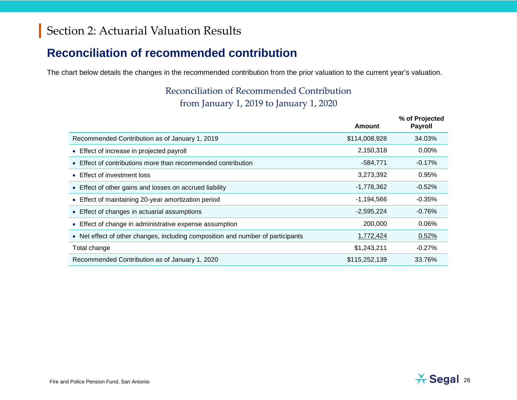#### **Reconciliation of recommended contribution**

The chart below details the changes in the recommended contribution from the prior valuation to the current year's valuation.

#### Reconciliation of Recommended Contribution from January 1, 2019 to January 1, 2020

|                                                                                            | <b>Amount</b> | % of Projected<br><b>Payroll</b> |
|--------------------------------------------------------------------------------------------|---------------|----------------------------------|
| Recommended Contribution as of January 1, 2019                                             | \$114,008,928 | 34.03%                           |
| • Effect of increase in projected payroll                                                  | 2,150,318     | $0.00\%$                         |
| Effect of contributions more than recommended contribution                                 | $-584,771$    | $-0.17%$                         |
| Effect of investment loss                                                                  | 3,273,392     | 0.95%                            |
| • Effect of other gains and losses on accrued liability                                    | $-1,778,362$  | $-0.52%$                         |
| Effect of maintaining 20-year amortization period                                          | $-1,194,566$  | $-0.35%$                         |
| • Effect of changes in actuarial assumptions                                               | $-2,595,224$  | $-0.76%$                         |
| Effect of change in administrative expense assumption                                      | 200,000       | 0.06%                            |
| Net effect of other changes, including composition and number of participants<br>$\bullet$ | 1,772,424     | 0.52%                            |
| Total change                                                                               | \$1,243,211   | $-0.27\%$                        |
| Recommended Contribution as of January 1, 2020                                             | \$115,252,139 | 33.76%                           |

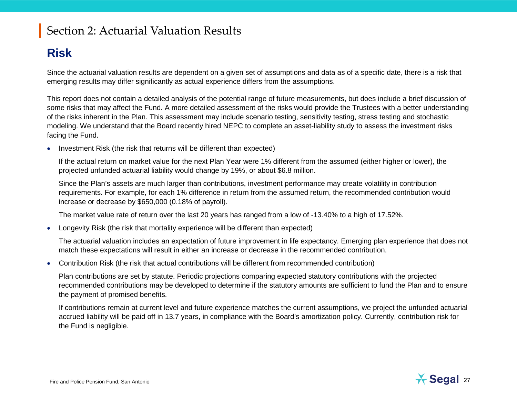#### **Risk**

Since the actuarial valuation results are dependent on a given set of assumptions and data as of a specific date, there is a risk that emerging results may differ significantly as actual experience differs from the assumptions.

This report does not contain a detailed analysis of the potential range of future measurements, but does include a brief discussion of some risks that may affect the Fund. A more detailed assessment of the risks would provide the Trustees with a better understanding of the risks inherent in the Plan. This assessment may include scenario testing, sensitivity testing, stress testing and stochastic modeling. We understand that the Board recently hired NEPC to complete an asset-liability study to assess the investment risks facing the Fund.

• Investment Risk (the risk that returns will be different than expected)

If the actual return on market value for the next Plan Year were 1% different from the assumed (either higher or lower), the projected unfunded actuarial liability would change by 19%, or about \$6.8 million.

Since the Plan's assets are much larger than contributions, investment performance may create volatility in contribution requirements. For example, for each 1% difference in return from the assumed return, the recommended contribution would increase or decrease by \$650,000 (0.18% of payroll).

The market value rate of return over the last 20 years has ranged from a low of -13.40% to a high of 17.52%.

• Longevity Risk (the risk that mortality experience will be different than expected)

The actuarial valuation includes an expectation of future improvement in life expectancy. Emerging plan experience that does not match these expectations will result in either an increase or decrease in the recommended contribution.

• Contribution Risk (the risk that actual contributions will be different from recommended contribution)

Plan contributions are set by statute. Periodic projections comparing expected statutory contributions with the projected recommended contributions may be developed to determine if the statutory amounts are sufficient to fund the Plan and to ensure the payment of promised benefits.

If contributions remain at current level and future experience matches the current assumptions, we project the unfunded actuarial accrued liability will be paid off in 13.7 years, in compliance with the Board's amortization policy. Currently, contribution risk for the Fund is negligible.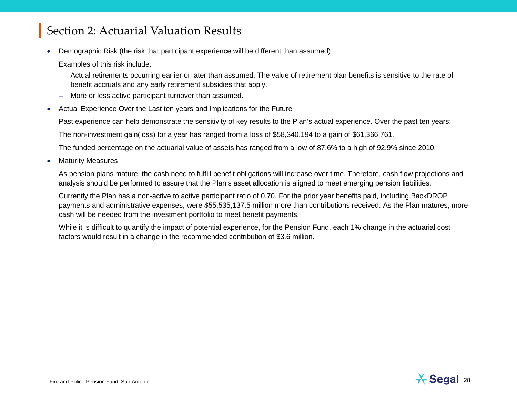• Demographic Risk (the risk that participant experience will be different than assumed)

Examples of this risk include:

- Actual retirements occurring earlier or later than assumed. The value of retirement plan benefits is sensitive to the rate of benefit accruals and any early retirement subsidies that apply.
- More or less active participant turnover than assumed.
- Actual Experience Over the Last ten years and Implications for the Future

Past experience can help demonstrate the sensitivity of key results to the Plan's actual experience. Over the past ten years:

The non-investment gain(loss) for a year has ranged from a loss of \$58,340,194 to a gain of \$61,366,761.

The funded percentage on the actuarial value of assets has ranged from a low of 87.6% to a high of 92.9% since 2010.

**Maturity Measures** 

As pension plans mature, the cash need to fulfill benefit obligations will increase over time. Therefore, cash flow projections and analysis should be performed to assure that the Plan's asset allocation is aligned to meet emerging pension liabilities.

Currently the Plan has a non-active to active participant ratio of 0.70. For the prior year benefits paid, including BackDROP payments and administrative expenses, were \$55,535,137.5 million more than contributions received. As the Plan matures, more cash will be needed from the investment portfolio to meet benefit payments.

While it is difficult to quantify the impact of potential experience, for the Pension Fund, each 1% change in the actuarial cost factors would result in a change in the recommended contribution of \$3.6 million.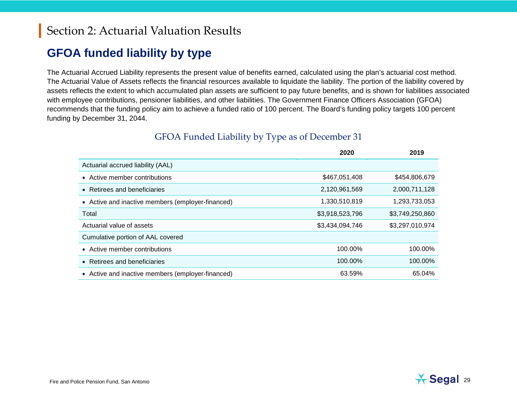#### **GFOA funded liability by type**

The Actuarial Accrued Liability represents the present value of benefits earned, calculated using the plan's actuarial cost method. The Actuarial Value of Assets reflects the financial resources available to liquidate the liability. The portion of the liability covered by assets reflects the extent to which accumulated plan assets are sufficient to pay future benefits, and is shown for liabilities associated with employee contributions, pensioner liabilities, and other liabilities. The Government Finance Officers Association (GFOA) recommends that the funding policy aim to achieve a funded ratio of 100 percent. The Board's funding policy targets 100 percent funding by December 31, 2044.

|                                                   | 2020            | 2019            |
|---------------------------------------------------|-----------------|-----------------|
| Actuarial accrued liability (AAL)                 |                 |                 |
| • Active member contributions                     | \$467,051,408   | \$454,806,679   |
| • Retirees and beneficiaries                      | 2,120,961,569   | 2,000,711,128   |
| • Active and inactive members (employer-financed) | 1,330,510,819   | 1,293,733,053   |
| Total                                             | \$3,918,523,796 | \$3,749,250,860 |
| Actuarial value of assets                         | \$3,434,094,746 | \$3,297,010,974 |
| Cumulative portion of AAL covered                 |                 |                 |
| • Active member contributions                     | 100.00%         | 100.00%         |
| • Retirees and beneficiaries                      | 100.00%         | 100.00%         |
| • Active and inactive members (employer-financed) | 63.59%          | 65.04%          |

#### GFOA Funded Liability by Type as of December 31

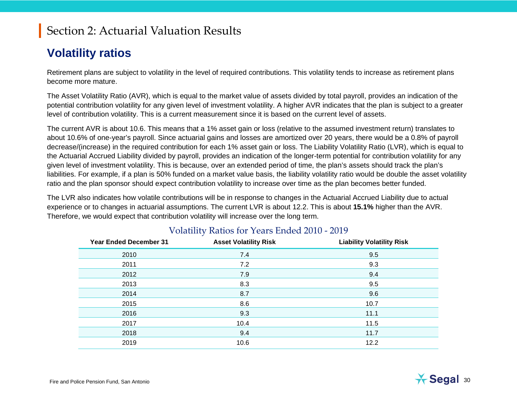#### **Volatility ratios**

Retirement plans are subject to volatility in the level of required contributions. This volatility tends to increase as retirement plans become more mature.

The Asset Volatility Ratio (AVR), which is equal to the market value of assets divided by total payroll, provides an indication of the potential contribution volatility for any given level of investment volatility. A higher AVR indicates that the plan is subject to a greater level of contribution volatility. This is a current measurement since it is based on the current level of assets.

The current AVR is about 10.6. This means that a 1% asset gain or loss (relative to the assumed investment return) translates to about 10.6% of one-year's payroll. Since actuarial gains and losses are amortized over 20 years, there would be a 0.8% of payroll decrease/(increase) in the required contribution for each 1% asset gain or loss. The Liability Volatility Ratio (LVR), which is equal to the Actuarial Accrued Liability divided by payroll, provides an indication of the longer-term potential for contribution volatility for any given level of investment volatility. This is because, over an extended period of time, the plan's assets should track the plan's liabilities. For example, if a plan is 50% funded on a market value basis, the liability volatility ratio would be double the asset volatility ratio and the plan sponsor should expect contribution volatility to increase over time as the plan becomes better funded.

The LVR also indicates how volatile contributions will be in response to changes in the Actuarial Accrued Liability due to actual experience or to changes in actuarial assumptions. The current LVR is about 12.2. This is about **15.1%** higher than the AVR. Therefore, we would expect that contribution volatility will increase over the long term.

| <b>Year Ended December 31</b> | <b>Asset Volatility Risk</b> | <b>Liability Volatility Risk</b> |
|-------------------------------|------------------------------|----------------------------------|
| 2010                          | 7.4                          | 9.5                              |
| 2011                          | 7.2                          | 9.3                              |
| 2012                          | 7.9                          | 9.4                              |
| 2013                          | 8.3                          | 9.5                              |
| 2014                          | 8.7                          | 9.6                              |
| 2015                          | 8.6                          | 10.7                             |
| 2016                          | 9.3                          | 11.1                             |
| 2017                          | 10.4                         | 11.5                             |
| 2018                          | 9.4                          | 11.7                             |
| 2019                          | 10.6                         | 12.2                             |

#### Volatility Ratios for Years Ended 2010 - 2019

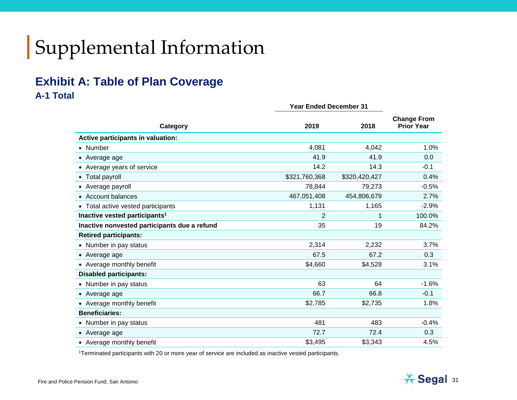# Supplemental Information

#### **Exhibit A: Table of Plan Coverage A-1 Total**

|                                              | <b>Year Ended December 31</b> |               |                                         |
|----------------------------------------------|-------------------------------|---------------|-----------------------------------------|
| Category                                     | 2019                          | 2018          | <b>Change From</b><br><b>Prior Year</b> |
| Active participants in valuation:            |                               |               |                                         |
| • Number                                     | 4,081                         | 4,042         | 1.0%                                    |
| • Average age                                | 41.9                          | 41.9          | 0.0                                     |
| • Average years of service                   | 14.2                          | 14.3          | $-0.1$                                  |
| • Total payroll                              | \$321,760,368                 | \$320,420,427 | 0.4%                                    |
| • Average payroll                            | 78,844                        | 79,273        | $-0.5%$                                 |
| • Account balances                           | 467,051,408                   | 454,806,679   | 2.7%                                    |
| • Total active vested participants           | 1,131                         | 1,165         | $-2.9%$                                 |
| Inactive vested participants <sup>1</sup>    | $\overline{2}$                | 1             | 100.0%                                  |
| Inactive nonvested participants due a refund | 35                            | 19            | 84.2%                                   |
| <b>Retired participants:</b>                 |                               |               |                                         |
| • Number in pay status                       | 2,314                         | 2,232         | 3.7%                                    |
| • Average age                                | 67.5                          | 67.2          | 0.3                                     |
| • Average monthly benefit                    | \$4,660                       | \$4,528       | 3.1%                                    |
| <b>Disabled participants:</b>                |                               |               |                                         |
| • Number in pay status                       | 63                            | 64            | $-1.6%$                                 |
| • Average age                                | 66.7                          | 66.8          | $-0.1$                                  |
| • Average monthly benefit                    | \$2,785                       | \$2,735       | 1.8%                                    |
| <b>Beneficiaries:</b>                        |                               |               |                                         |
| • Number in pay status                       | 481                           | 483           | $-0.4%$                                 |
| • Average age                                | 72.7                          | 72.4          | 0.3                                     |
| • Average monthly benefit                    | \$3,495                       | \$3,343       | 4.5%                                    |

1Terminated participants with 20 or more year of service are included as inactive vested participants.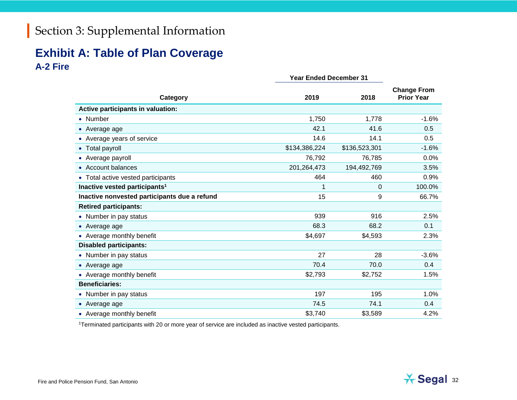#### **Exhibit A: Table of Plan Coverage A-2 Fire**

|                                              | <b>Year Ended December 31</b> |               |                                         |
|----------------------------------------------|-------------------------------|---------------|-----------------------------------------|
| Category                                     | 2019                          | 2018          | <b>Change From</b><br><b>Prior Year</b> |
| Active participants in valuation:            |                               |               |                                         |
| • Number                                     | 1,750                         | 1,778         | $-1.6%$                                 |
| • Average age                                | 42.1                          | 41.6          | 0.5                                     |
| • Average years of service                   | 14.6                          | 14.1          | 0.5                                     |
| Total payroll                                | \$134,386,224                 | \$136,523,301 | $-1.6%$                                 |
| • Average payroll                            | 76,792                        | 76,785        | 0.0%                                    |
| <b>Account balances</b>                      | 201,264,473                   | 194,492,769   | 3.5%                                    |
| • Total active vested participants           | 464                           | 460           | 0.9%                                    |
| Inactive vested participants <sup>1</sup>    | 1                             | 0             | 100.0%                                  |
| Inactive nonvested participants due a refund | 15                            | 9             | 66.7%                                   |
| <b>Retired participants:</b>                 |                               |               |                                         |
| • Number in pay status                       | 939                           | 916           | 2.5%                                    |
| • Average age                                | 68.3                          | 68.2          | 0.1                                     |
| • Average monthly benefit                    | \$4,697                       | \$4,593       | 2.3%                                    |
| <b>Disabled participants:</b>                |                               |               |                                         |
| • Number in pay status                       | 27                            | 28            | $-3.6%$                                 |
| • Average age                                | 70.4                          | 70.0          | 0.4                                     |
| • Average monthly benefit                    | \$2,793                       | \$2,752       | 1.5%                                    |
| <b>Beneficiaries:</b>                        |                               |               |                                         |
| • Number in pay status                       | 197                           | 195           | 1.0%                                    |
| • Average age                                | 74.5                          | 74.1          | 0.4                                     |
| • Average monthly benefit                    | \$3,740                       | \$3,589       | 4.2%                                    |

1Terminated participants with 20 or more year of service are included as inactive vested participants.

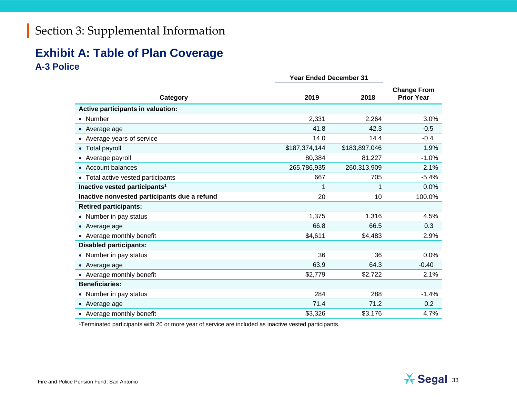#### **Exhibit A: Table of Plan Coverage A-3 Police**

|                                              | <b>Year Ended December 31</b> |               |                                         |
|----------------------------------------------|-------------------------------|---------------|-----------------------------------------|
| Category                                     | 2019                          | 2018          | <b>Change From</b><br><b>Prior Year</b> |
| Active participants in valuation:            |                               |               |                                         |
| • Number                                     | 2,331                         | 2,264         | 3.0%                                    |
| • Average age                                | 41.8                          | 42.3          | $-0.5$                                  |
| Average years of service                     | 14.0                          | 14.4          | $-0.4$                                  |
| <b>Total payroll</b>                         | \$187,374,144                 | \$183,897,046 | 1.9%                                    |
| Average payroll                              | 80,384                        | 81,227        | $-1.0%$                                 |
| • Account balances                           | 265,786,935                   | 260,313,909   | 2.1%                                    |
| • Total active vested participants           | 667                           | 705           | $-5.4%$                                 |
| Inactive vested participants <sup>1</sup>    | 1                             | 1             | 0.0%                                    |
| Inactive nonvested participants due a refund | 20                            | 10            | 100.0%                                  |
| <b>Retired participants:</b>                 |                               |               |                                         |
| Number in pay status                         | 1,375                         | 1,316         | 4.5%                                    |
| • Average age                                | 66.8                          | 66.5          | 0.3                                     |
| • Average monthly benefit                    | \$4,611                       | \$4,483       | 2.9%                                    |
| <b>Disabled participants:</b>                |                               |               |                                         |
| • Number in pay status                       | 36                            | 36            | 0.0%                                    |
| • Average age                                | 63.9                          | 64.3          | $-0.40$                                 |
| • Average monthly benefit                    | \$2,779                       | \$2,722       | 2.1%                                    |
| <b>Beneficiaries:</b>                        |                               |               |                                         |
| • Number in pay status                       | 284                           | 288           | $-1.4%$                                 |
| • Average age                                | 71.4                          | 71.2          | 0.2                                     |
| • Average monthly benefit                    | \$3,326                       | \$3,176       | 4.7%                                    |

1Terminated participants with 20 or more year of service are included as inactive vested participants.

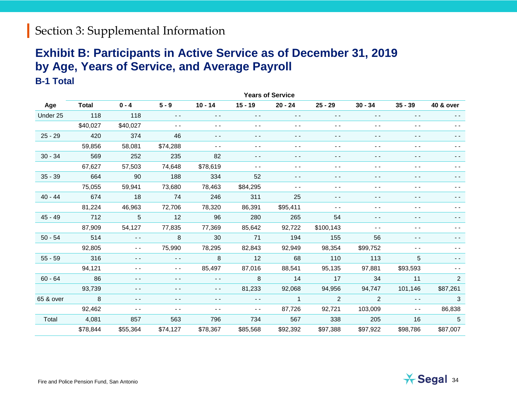#### **Exhibit B: Participants in Active Service as of December 31, 2019 by Age, Years of Service, and Average Payroll B-1 Total**

|           | <b>Years of Service</b> |               |                                          |               |               |                |                                                                                                                                                                                                                                                                                                                                                                                                                                                |                                          |               |                      |
|-----------|-------------------------|---------------|------------------------------------------|---------------|---------------|----------------|------------------------------------------------------------------------------------------------------------------------------------------------------------------------------------------------------------------------------------------------------------------------------------------------------------------------------------------------------------------------------------------------------------------------------------------------|------------------------------------------|---------------|----------------------|
| Age       | <b>Total</b>            | $0 - 4$       | $5 - 9$                                  | $10 - 14$     | $15 - 19$     | $20 - 24$      | $25 - 29$                                                                                                                                                                                                                                                                                                                                                                                                                                      | $30 - 34$                                | $35 - 39$     | <b>40 &amp; over</b> |
| Under 25  | 118                     | 118           | $\sim$ $\sim$                            | $\sim$ $\sim$ | $\sim$ $-$    | $\sim$ $\sim$  | $\frac{1}{2} \left( \frac{1}{2} \right) \frac{1}{2} \left( \frac{1}{2} \right) \frac{1}{2} \left( \frac{1}{2} \right) \frac{1}{2} \left( \frac{1}{2} \right) \frac{1}{2} \left( \frac{1}{2} \right) \frac{1}{2} \left( \frac{1}{2} \right) \frac{1}{2} \left( \frac{1}{2} \right) \frac{1}{2} \left( \frac{1}{2} \right) \frac{1}{2} \left( \frac{1}{2} \right) \frac{1}{2} \left( \frac{1}{2} \right) \frac{1}{2} \left( \frac{1}{2} \right)$ | $\frac{1}{2}$                            | $\frac{1}{2}$ | $ -$                 |
|           | \$40,027                | \$40,027      | $\sim$ $\sim$                            | $ \,$ $-$     | $ -$          | $\sim$ $-$     | $\frac{1}{2}$                                                                                                                                                                                                                                                                                                                                                                                                                                  | $\sim$ $\sim$                            | $\sim$ $-$    | $ -$                 |
| $25 - 29$ | 420                     | 374           | 46                                       | $\frac{1}{2}$ | $\frac{1}{2}$ | $ -$           | $ -$                                                                                                                                                                                                                                                                                                                                                                                                                                           | $\frac{1}{2} \left( \frac{1}{2} \right)$ | $\frac{1}{2}$ | - -                  |
|           | 59,856                  | 58,081        | \$74,288                                 | $\frac{1}{2}$ | $\sim$ $\sim$ | $\sim$ $\sim$  | $\sim$ $\sim$                                                                                                                                                                                                                                                                                                                                                                                                                                  | $\sim$ $\sim$                            | $ -$          | $- -$                |
| $30 - 34$ | 569                     | 252           | 235                                      | 82            | $ -$          | $ -$           | $ -$                                                                                                                                                                                                                                                                                                                                                                                                                                           | $\frac{1}{2}$                            | $ -$          |                      |
|           | 67,627                  | 57,503        | 74,648                                   | \$78,619      | $ -$          | $ -$           | $ -$                                                                                                                                                                                                                                                                                                                                                                                                                                           | $ -$                                     | $ -$          |                      |
| $35 - 39$ | 664                     | 90            | 188                                      | 334           | 52            | $ -$           | - -                                                                                                                                                                                                                                                                                                                                                                                                                                            | $ -$                                     | $ -$          |                      |
|           | 75,055                  | 59,941        | 73,680                                   | 78,463        | \$84,295      | $ -$           | $ -$                                                                                                                                                                                                                                                                                                                                                                                                                                           | $\frac{1}{2}$                            | $ -$          | - -                  |
| $40 - 44$ | 674                     | 18            | 74                                       | 246           | 311           | 25             | $\frac{1}{2}$                                                                                                                                                                                                                                                                                                                                                                                                                                  | $\frac{1}{2}$                            | $ -$          | - -                  |
|           | 81,224                  | 46,963        | 72,706                                   | 78,320        | 86,391        | \$95,411       | $\frac{1}{2}$                                                                                                                                                                                                                                                                                                                                                                                                                                  | $\frac{1}{2}$                            | $ -$          | $ -$                 |
| $45 - 49$ | 712                     | 5             | 12                                       | 96            | 280           | 265            | 54                                                                                                                                                                                                                                                                                                                                                                                                                                             | $\frac{1}{2}$                            | $\frac{1}{2}$ | $ -$                 |
|           | 87,909                  | 54,127        | 77,835                                   | 77,369        | 85,642        | 92,722         | \$100,143                                                                                                                                                                                                                                                                                                                                                                                                                                      | $\sim$ $\sim$                            | $ -$          |                      |
| $50 - 54$ | 514                     | $\sim$ $\sim$ | 8                                        | 30            | 71            | 194            | 155                                                                                                                                                                                                                                                                                                                                                                                                                                            | 56                                       | $ -$          |                      |
|           | 92,805                  | $ -$          | 75,990                                   | 78,295        | 82,843        | 92,949         | 98,354                                                                                                                                                                                                                                                                                                                                                                                                                                         | \$99,752                                 | $ -$          |                      |
| $55 - 59$ | 316                     | $\sim$ $\sim$ | $\sim$ $\sim$                            | 8             | 12            | 68             | 110                                                                                                                                                                                                                                                                                                                                                                                                                                            | 113                                      | 5             | $ -$                 |
|           | 94,121                  | $\frac{1}{2}$ | $\sim$ $\sim$                            | 85,497        | 87,016        | 88,541         | 95,135                                                                                                                                                                                                                                                                                                                                                                                                                                         | 97,881                                   | \$93,593      |                      |
| $60 - 64$ | 86                      | $ -$          | $\frac{1}{2}$                            | $\sim$ $\sim$ | 8             | 14             | 17                                                                                                                                                                                                                                                                                                                                                                                                                                             | 34                                       | 11            | $\overline{2}$       |
|           | 93,739                  | $\frac{1}{2}$ | $\sim$ $\sim$                            | $- -$         | 81,233        | 92,068         | 94,956                                                                                                                                                                                                                                                                                                                                                                                                                                         | 94,747                                   | 101,146       | \$87,261             |
| 65 & over | 8                       | $\frac{1}{2}$ | $\frac{1}{2} \left( \frac{1}{2} \right)$ | $\sim$ $\sim$ | $\sim$ $\sim$ | $\overline{1}$ | 2                                                                                                                                                                                                                                                                                                                                                                                                                                              | 2                                        | $ -$          | 3                    |
|           | 92,462                  | $ -$          | $ -$                                     | $\sim$ $\sim$ | $\sim$ $\sim$ | 87,726         | 92,721                                                                                                                                                                                                                                                                                                                                                                                                                                         | 103,009                                  | $\sim$ $\sim$ | 86,838               |
| Total     | 4,081                   | 857           | 563                                      | 796           | 734           | 567            | 338                                                                                                                                                                                                                                                                                                                                                                                                                                            | 205                                      | 16            | $\sqrt{5}$           |
|           | \$78,844                | \$55,364      | \$74,127                                 | \$78,367      | \$85,568      | \$92,392       | \$97,388                                                                                                                                                                                                                                                                                                                                                                                                                                       | \$97,922                                 | \$98,786      | \$87,007             |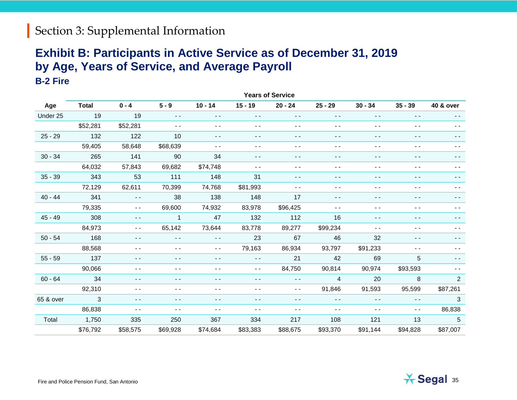#### **Exhibit B: Participants in Active Service as of December 31, 2019 by Age, Years of Service, and Average Payroll B-2 Fire**

|           | <b>Years of Service</b> |               |                |               |               |               |                |               |               |                |
|-----------|-------------------------|---------------|----------------|---------------|---------------|---------------|----------------|---------------|---------------|----------------|
| Age       | <b>Total</b>            | $0 - 4$       | $5 - 9$        | $10 - 14$     | $15 - 19$     | $20 - 24$     | $25 - 29$      | $30 - 34$     | $35 - 39$     | 40 & over      |
| Under 25  | 19                      | 19            | $\sim$ $\sim$  | $\sim$ $-$    | $\sim$ $\sim$ | $\sim$ $\sim$ | $\sim$ $-$     | $\sim$ $\sim$ | $\sim$ $\sim$ | $\sim$ $\sim$  |
|           | \$52,281                | \$52,281      | $\sim$ $\sim$  | $\sim$ $\sim$ | $ -$          | $\sim$ $\sim$ | $\sim$ $\sim$  | $\sim$ $\sim$ | $ -$          | $ -$           |
| $25 - 29$ | 132                     | 122           | 10             | $\sim$ $\sim$ | $\sim$ $\sim$ | $\sim$ $\sim$ | $ -$           | $\sim$ $\sim$ | $\frac{1}{2}$ | $\frac{1}{2}$  |
|           | 59,405                  | 58,648        | \$68,639       | $\frac{1}{2}$ | $ -$          | $\frac{1}{2}$ | $\sim$ $\sim$  | $\frac{1}{2}$ | $ -$          |                |
| $30 - 34$ | 265                     | 141           | 90             | 34            | $ -$          | $ -$          | $ -$           | $ -$          | $ -$          | $ -$           |
|           | 64,032                  | 57,843        | 69,682         | \$74,748      | $ -$          | $ -$          | $ -$           | $ -$          | $ -$          | - -            |
| $35 - 39$ | 343                     | 53            | 111            | 148           | 31            | $\frac{1}{2}$ | $ -$           | $\frac{1}{2}$ | $ -$          | $ -$           |
|           | 72,129                  | 62,611        | 70,399         | 74,768        | \$81,993      | $\sim$ $\sim$ | $ -$           | $\sim$ $\sim$ | $ -$          | $ -$           |
| $40 - 44$ | 341                     | $\sim$ $\sim$ | 38             | 138           | 148           | 17            | $\sim$ $-$     | $\frac{1}{2}$ | $ -$          | $ -$           |
|           | 79,335                  | $\sim$ $\sim$ | 69,600         | 74,932        | 83,978        | \$96,425      | $\sim$ $\sim$  | $\sim$ $\sim$ | $ -$          | $ -$           |
| $45 - 49$ | 308                     | $\sim$ $\sim$ | $\overline{1}$ | 47            | 132           | 112           | 16             | $ -$          | $ -$          |                |
|           | 84,973                  | $\sim$ $\sim$ | 65,142         | 73,644        | 83,778        | 89,277        | \$99,234       | $\sim$ $\sim$ | $ -$          |                |
| $50 - 54$ | 168                     | $\frac{1}{2}$ | $\sim$ $-$     | $\sim$ $\sim$ | 23            | 67            | 46             | 32            | $ -$          | - -            |
|           | 88,568                  | $\sim$ $\sim$ | $- -$          | $\sim$ $\sim$ | 79,163        | 86,934        | 93,797         | \$91,233      | $ -$          | - -            |
| $55 - 59$ | 137                     | $\frac{1}{2}$ | $\frac{1}{2}$  | $- -$         | $\sim$ $\sim$ | 21            | 42             | 69            | 5             | $\frac{1}{2}$  |
|           | 90,066                  | $\frac{1}{2}$ | $\sim$ $\sim$  | $\sim$ $\sim$ | $\sim$ $\sim$ | 84,750        | 90,814         | 90,974        | \$93,593      | $ -$           |
| $60 - 64$ | 34                      | $\frac{1}{2}$ | - -            | $\frac{1}{2}$ | $\frac{1}{2}$ | $\sim$ $\sim$ | $\overline{4}$ | 20            | 8             | $\overline{2}$ |
|           | 92,310                  | $ -$          | $\blacksquare$ | $ -$          | $ -$          | $\sim$ $\sim$ | 91,846         | 91,593        | 95,599        | \$87,261       |
| 65 & over | $\overline{3}$          | $\frac{1}{2}$ | $ -$           | $ -$          | $ -$          | $\sim$ $\sim$ | $\sim$ $\sim$  | $\sim$ $\sim$ | $\sim$ $\sim$ | 3              |
|           | 86,838                  | $ -$          | $\sim$ $\sim$  | $ -$          | $ -$          | $\sim$ $\sim$ | $\sim$ $\sim$  | $\frac{1}{2}$ | $\sim$ $\sim$ | 86,838         |
| Total     | 1,750                   | 335           | 250            | 367           | 334           | 217           | 108            | 121           | 13            | 5              |
|           | \$76,792                | \$58,575      | \$69,928       | \$74,684      | \$83,383      | \$88,675      | \$93,370       | \$91,144      | \$94,828      | \$87,007       |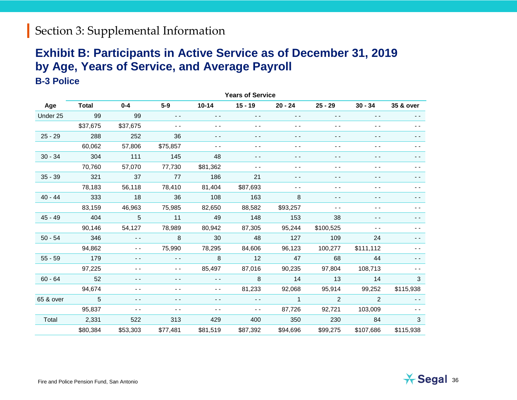#### **Exhibit B: Participants in Active Service as of December 31, 2019 by Age, Years of Service, and Average Payroll B-3 Police**

|           | <b>Years of Service</b> |               |               |               |               |                |               |                                          |           |  |
|-----------|-------------------------|---------------|---------------|---------------|---------------|----------------|---------------|------------------------------------------|-----------|--|
| Age       | <b>Total</b>            | $0 - 4$       | $5-9$         | $10 - 14$     | $15 - 19$     | $20 - 24$      | $25 - 29$     | $30 - 34$                                | 35 & over |  |
| Under 25  | 99                      | 99            | $\sim$ $\sim$ | $\sim$ $\sim$ | $\sim$ $-$    | $\sim$ $-$     | $\sim$ $\sim$ | $\frac{1}{2} \left( \frac{1}{2} \right)$ | $ -$      |  |
|           | \$37,675                | \$37,675      | $ -$          | $ -$          | $ -$          | $ -$           | $ -$          | $ -$                                     | $ -$      |  |
| $25 - 29$ | 288                     | 252           | 36            | $\frac{1}{2}$ | $ -$          | $- -$          | $ -$          | $ -$                                     |           |  |
|           | 60,062                  | 57,806        | \$75,857      | $ -$          | $ -$          | $ -$           | $ -$          | $ -$                                     |           |  |
| $30 - 34$ | 304                     | 111           | 145           | 48            | $ -$          | $ -$           | $ -$          | $ -$                                     |           |  |
|           | 70,760                  | 57,070        | 77,730        | \$81,362      | $\sim$ $\sim$ | $ -$           | $ -$          | $ -$                                     |           |  |
| $35 - 39$ | 321                     | 37            | 77            | 186           | 21            | $ -$           | $ -$          | $ -$                                     | - -       |  |
|           | 78,183                  | 56,118        | 78,410        | 81,404        | \$87,693      | $ -$           | $ -$          | $ -$                                     | $ -$      |  |
| $40 - 44$ | 333                     | 18            | 36            | 108           | 163           | 8              | $ -$          | $\frac{1}{2}$                            | - -       |  |
|           | 83,159                  | 46,963        | 75,985        | 82,650        | 88,582        | \$93,257       | $ -$          | $ -$                                     | $ -$      |  |
| $45 - 49$ | 404                     | 5             | 11            | 49            | 148           | 153            | 38            | $ -$                                     |           |  |
|           | 90,146                  | 54,127        | 78,989        | 80,942        | 87,305        | 95,244         | \$100,525     | $ -$                                     |           |  |
| $50 - 54$ | 346                     | $\sim$ $-$    | 8             | 30            | 48            | 127            | 109           | 24                                       | - -       |  |
|           | 94,862                  | $\sim$ $\sim$ | 75,990        | 78,295        | 84,606        | 96,123         | 100,277       | \$111,112                                | - -       |  |
| $55 - 59$ | 179                     | $\frac{1}{2}$ | $\sim$ $-$    | 8             | 12            | 47             | 68            | 44                                       | - -       |  |
|           | 97,225                  | $ -$          | $\frac{1}{2}$ | 85,497        | 87,016        | 90,235         | 97,804        | 108,713                                  | $ -$      |  |
| $60 - 64$ | 52                      | $ -$          | $ -$          | $\sim$ $\sim$ | 8             | 14             | 13            | 14                                       | 3         |  |
|           | 94,674                  | $ -$          | $ -$          | $ -$          | 81,233        | 92,068         | 95,914        | 99,252                                   | \$115,938 |  |
| 65 & over | 5                       | $ -$          | $ -$          | $ -$          | $ -$          | $\overline{1}$ | 2             | 2                                        | $ -$      |  |
|           | 95,837                  | $ -$          | $ -$          | $ -$          | $ -$          | 87,726         | 92,721        | 103,009                                  |           |  |
| Total     | 2,331                   | 522           | 313           | 429           | 400           | 350            | 230           | 84                                       | 3         |  |
|           | \$80,384                | \$53,303      | \$77,481      | \$81,519      | \$87,392      | \$94,696       | \$99,275      | \$107,686                                | \$115,938 |  |

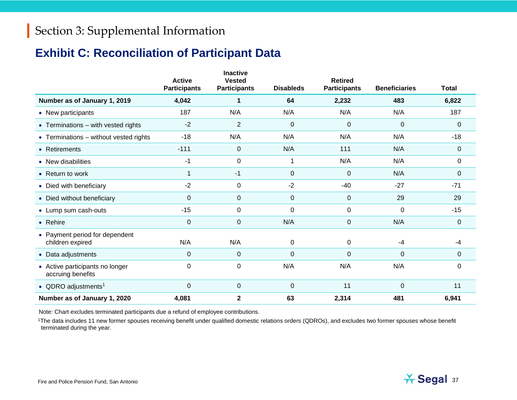#### **Exhibit C: Reconciliation of Participant Data**

|                                                      | <b>Active</b><br><b>Participants</b> | <b>Inactive</b><br><b>Vested</b><br><b>Participants</b> | <b>Disableds</b> | <b>Retired</b><br><b>Participants</b> | <b>Beneficiaries</b> | <b>Total</b> |
|------------------------------------------------------|--------------------------------------|---------------------------------------------------------|------------------|---------------------------------------|----------------------|--------------|
| Number as of January 1, 2019                         | 4,042                                | 1                                                       | 64               | 2,232                                 | 483                  | 6,822        |
| • New participants                                   | 187                                  | N/A                                                     | N/A              | N/A                                   | N/A                  | 187          |
| • Terminations - with vested rights                  | $-2$                                 | $\overline{2}$                                          | $\mathbf 0$      | 0                                     | 0                    | $\Omega$     |
| • Terminations - without vested rights               | $-18$                                | N/A                                                     | N/A              | N/A                                   | N/A                  | $-18$        |
| • Retirements                                        | $-111$                               | $\mathbf 0$                                             | N/A              | 111                                   | N/A                  | 0            |
| • New disabilities                                   | $-1$                                 | $\pmb{0}$                                               |                  | N/A                                   | N/A                  | $\Omega$     |
| • Return to work                                     |                                      | -1                                                      | 0                | 0                                     | N/A                  | 0            |
| • Died with beneficiary                              | $-2$                                 | 0                                                       | $-2$             | $-40$                                 | $-27$                | $-71$        |
| • Died without beneficiary                           | $\Omega$                             | 0                                                       | 0                | 0                                     | 29                   | 29           |
| • Lump sum cash-outs                                 | $-15$                                | 0                                                       | $\Omega$         | 0                                     | 0                    | $-15$        |
| • Rehire                                             | $\mathbf 0$                          | $\pmb{0}$                                               | N/A              | 0                                     | N/A                  | $\Omega$     |
| • Payment period for dependent<br>children expired   | N/A                                  | N/A                                                     | 0                | 0                                     | $-4$                 | $-4$         |
| • Data adjustments                                   | 0                                    | 0                                                       | 0                | 0                                     | 0                    | 0            |
| • Active participants no longer<br>accruing benefits | $\Omega$                             | 0                                                       | N/A              | N/A                                   | N/A                  | 0            |
| • QDRO adjustments <sup>1</sup>                      | $\mathbf 0$                          | $\pmb{0}$                                               | 0                | 11                                    | 0                    | 11           |
| Number as of January 1, 2020                         | 4,081                                | $\mathbf 2$                                             | 63               | 2,314                                 | 481                  | 6,941        |

Note: Chart excludes terminated participants due a refund of employee contributions.

<sup>1</sup>The data includes 11 new former spouses receiving benefit under qualified domestic relations orders (QDROs), and excludes two former spouses whose benefit terminated during the year.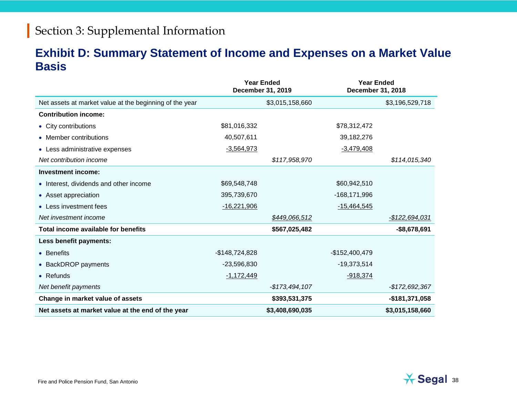#### **Exhibit D: Summary Statement of Income and Expenses on a Market Value Basis**

|                                                         |                 | <b>Year Ended</b><br>December 31, 2019 | <b>Year Ended</b><br>December 31, 2018 |                       |
|---------------------------------------------------------|-----------------|----------------------------------------|----------------------------------------|-----------------------|
| Net assets at market value at the beginning of the year |                 | \$3,015,158,660                        |                                        | \$3,196,529,718       |
| <b>Contribution income:</b>                             |                 |                                        |                                        |                       |
| • City contributions                                    | \$81,016,332    |                                        | \$78,312,472                           |                       |
| • Member contributions                                  | 40,507,611      |                                        | 39,182,276                             |                       |
| • Less administrative expenses                          | $-3,564,973$    |                                        | $-3,479,408$                           |                       |
| Net contribution income                                 |                 | \$117,958,970                          |                                        | \$114,015,340         |
| Investment income:                                      |                 |                                        |                                        |                       |
| • Interest, dividends and other income                  | \$69,548,748    |                                        | \$60,942,510                           |                       |
| • Asset appreciation                                    | 395,739,670     |                                        | $-168, 171, 996$                       |                       |
| • Less investment fees                                  | $-16,221,906$   |                                        | $-15,464,545$                          |                       |
| Net investment income                                   |                 | \$449,066,512                          |                                        | <u>-\$122,694,031</u> |
| Total income available for benefits                     |                 | \$567,025,482                          |                                        | $-$8,678,691$         |
| Less benefit payments:                                  |                 |                                        |                                        |                       |
| • Benefits                                              | $-$148,724,828$ |                                        | $-$152,400,479$                        |                       |
| • BackDROP payments                                     | $-23,596,830$   |                                        | $-19,373,514$                          |                       |
| $\bullet$ Refunds                                       | $-1,172,449$    |                                        | $-918,374$                             |                       |
| Net benefit payments                                    |                 | -\$173,494,107                         |                                        | -\$172,692,367        |
| Change in market value of assets                        |                 | \$393,531,375                          |                                        | -\$181,371,058        |
| Net assets at market value at the end of the year       |                 | \$3,408,690,035                        |                                        | \$3,015,158,660       |

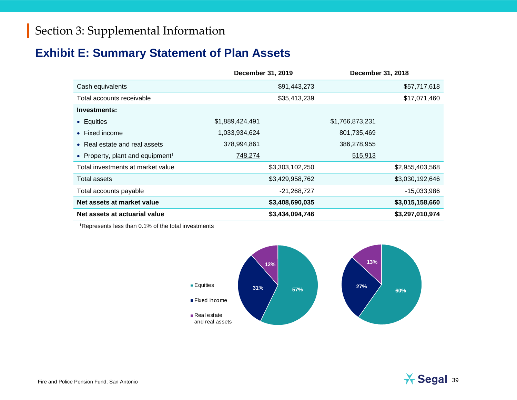#### **Exhibit E: Summary Statement of Plan Assets**

|                                              | December 31, 2019 | <b>December 31, 2018</b> |                 |
|----------------------------------------------|-------------------|--------------------------|-----------------|
| Cash equivalents                             | \$91,443,273      |                          | \$57,717,618    |
| Total accounts receivable                    | \$35,413,239      |                          | \$17,071,460    |
| Investments:                                 |                   |                          |                 |
| • Equities                                   | \$1,889,424,491   | \$1,766,873,231          |                 |
| • Fixed income                               | 1,033,934,624     | 801,735,469              |                 |
| • Real estate and real assets                | 378,994,861       | 386,278,955              |                 |
| • Property, plant and equipment <sup>1</sup> | 748,274           | 515,913                  |                 |
| Total investments at market value            | \$3,303,102,250   |                          | \$2,955,403,568 |
| Total assets                                 | \$3,429,958,762   |                          | \$3,030,192,646 |
| Total accounts payable                       |                   | $-21,268,727$            | $-15,033,986$   |
| Net assets at market value                   | \$3,408,690,035   |                          | \$3,015,158,660 |
| Net assets at actuarial value                | \$3,434,094,746   |                          | \$3,297,010,974 |

1Represents less than 0.1% of the total investments



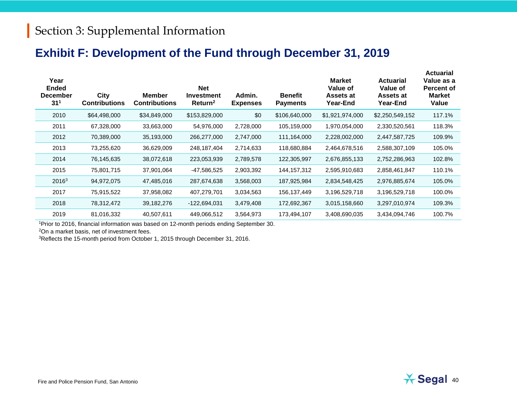#### **Exhibit F: Development of the Fund through December 31, 2019**

| Year<br><b>Ended</b><br><b>December</b><br>31 <sup>1</sup> | City<br><b>Contributions</b> | <b>Member</b><br><b>Contributions</b> | <b>Net</b><br><b>Investment</b><br>Return <sup>2</sup> | Admin.<br><b>Expenses</b> | <b>Benefit</b><br><b>Payments</b> | <b>Market</b><br><b>Value of</b><br>Assets at<br>Year-End | <b>Actuarial</b><br><b>Value of</b><br>Assets at<br>Year-End | <b>Actuarial</b><br>Value as a<br><b>Percent of</b><br><b>Market</b><br>Value |
|------------------------------------------------------------|------------------------------|---------------------------------------|--------------------------------------------------------|---------------------------|-----------------------------------|-----------------------------------------------------------|--------------------------------------------------------------|-------------------------------------------------------------------------------|
| 2010                                                       | \$64,498,000                 | \$34,849,000                          | \$153,829,000                                          | \$0                       | \$106,640,000                     | \$1,921,974,000                                           | \$2,250,549,152                                              | 117.1%                                                                        |
| 2011                                                       | 67,328,000                   | 33,663,000                            | 54,976,000                                             | 2,728,000                 | 105,159,000                       | 1,970,054,000                                             | 2,330,520,561                                                | 118.3%                                                                        |
| 2012                                                       | 70,389,000                   | 35,193,000                            | 266,277,000                                            | 2,747,000                 | 111,164,000                       | 2,228,002,000                                             | 2,447,587,725                                                | 109.9%                                                                        |
| 2013                                                       | 73,255,620                   | 36,629,009                            | 248,187,404                                            | 2,714,633                 | 118,680,884                       | 2,464,678,516                                             | 2,588,307,109                                                | 105.0%                                                                        |
| 2014                                                       | 76,145,635                   | 38,072,618                            | 223,053,939                                            | 2,789,578                 | 122,305,997                       | 2,676,855,133                                             | 2,752,286,963                                                | 102.8%                                                                        |
| 2015                                                       | 75,801,715                   | 37,901,064                            | -47,586,525                                            | 2,903,392                 | 144, 157, 312                     | 2,595,910,683                                             | 2,858,461,847                                                | 110.1%                                                                        |
| 2016 <sup>3</sup>                                          | 94,972,075                   | 47,485,016                            | 287,674,638                                            | 3,568,003                 | 187,925,984                       | 2,834,548,425                                             | 2,976,885,674                                                | 105.0%                                                                        |
| 2017                                                       | 75,915,522                   | 37,958,082                            | 407,279,701                                            | 3,034,563                 | 156,137,449                       | 3,196,529,718                                             | 3,196,529,718                                                | 100.0%                                                                        |
| 2018                                                       | 78,312,472                   | 39,182,276                            | -122,694,031                                           | 3,479,408                 | 172,692,367                       | 3,015,158,660                                             | 3,297,010,974                                                | 109.3%                                                                        |
| 2019                                                       | 81,016,332                   | 40,507,611                            | 449,066,512                                            | 3,564,973                 | 173,494,107                       | 3,408,690,035                                             | 3,434,094,746                                                | 100.7%                                                                        |
|                                                            |                              |                                       |                                                        |                           |                                   |                                                           |                                                              |                                                                               |

1Prior to 2016, financial information was based on 12-month periods ending September 30.

2On a market basis, net of investment fees.

3Reflects the 15-month period from October 1, 2015 through December 31, 2016.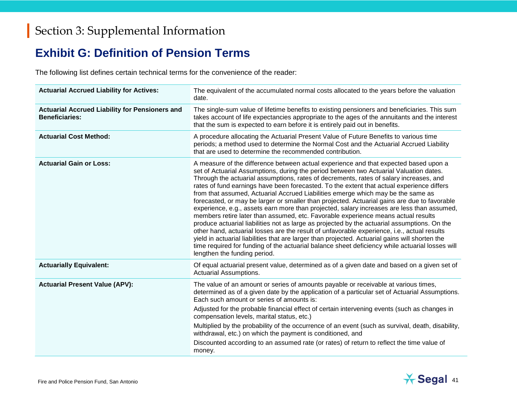#### **Exhibit G: Definition of Pension Terms**

The following list defines certain technical terms for the convenience of the reader:

| <b>Actuarial Accrued Liability for Actives:</b>                                | The equivalent of the accumulated normal costs allocated to the years before the valuation<br>date.                                                                                                                                                                                                                                                                                                                                                                                                                                                                                                                                                                                                                                                                                                                                                                                                                                                                                                                                                                                                                                                                               |
|--------------------------------------------------------------------------------|-----------------------------------------------------------------------------------------------------------------------------------------------------------------------------------------------------------------------------------------------------------------------------------------------------------------------------------------------------------------------------------------------------------------------------------------------------------------------------------------------------------------------------------------------------------------------------------------------------------------------------------------------------------------------------------------------------------------------------------------------------------------------------------------------------------------------------------------------------------------------------------------------------------------------------------------------------------------------------------------------------------------------------------------------------------------------------------------------------------------------------------------------------------------------------------|
| <b>Actuarial Accrued Liability for Pensioners and</b><br><b>Beneficiaries:</b> | The single-sum value of lifetime benefits to existing pensioners and beneficiaries. This sum<br>takes account of life expectancies appropriate to the ages of the annuitants and the interest<br>that the sum is expected to earn before it is entirely paid out in benefits.                                                                                                                                                                                                                                                                                                                                                                                                                                                                                                                                                                                                                                                                                                                                                                                                                                                                                                     |
| <b>Actuarial Cost Method:</b>                                                  | A procedure allocating the Actuarial Present Value of Future Benefits to various time<br>periods; a method used to determine the Normal Cost and the Actuarial Accrued Liability<br>that are used to determine the recommended contribution.                                                                                                                                                                                                                                                                                                                                                                                                                                                                                                                                                                                                                                                                                                                                                                                                                                                                                                                                      |
| <b>Actuarial Gain or Loss:</b>                                                 | A measure of the difference between actual experience and that expected based upon a<br>set of Actuarial Assumptions, during the period between two Actuarial Valuation dates.<br>Through the actuarial assumptions, rates of decrements, rates of salary increases, and<br>rates of fund earnings have been forecasted. To the extent that actual experience differs<br>from that assumed, Actuarial Accrued Liabilities emerge which may be the same as<br>forecasted, or may be larger or smaller than projected. Actuarial gains are due to favorable<br>experience, e.g., assets earn more than projected, salary increases are less than assumed,<br>members retire later than assumed, etc. Favorable experience means actual results<br>produce actuarial liabilities not as large as projected by the actuarial assumptions. On the<br>other hand, actuarial losses are the result of unfavorable experience, i.e., actual results<br>yield in actuarial liabilities that are larger than projected. Actuarial gains will shorten the<br>time required for funding of the actuarial balance sheet deficiency while actuarial losses will<br>lengthen the funding period. |
| <b>Actuarially Equivalent:</b>                                                 | Of equal actuarial present value, determined as of a given date and based on a given set of<br><b>Actuarial Assumptions.</b>                                                                                                                                                                                                                                                                                                                                                                                                                                                                                                                                                                                                                                                                                                                                                                                                                                                                                                                                                                                                                                                      |
| <b>Actuarial Present Value (APV):</b>                                          | The value of an amount or series of amounts payable or receivable at various times,<br>determined as of a given date by the application of a particular set of Actuarial Assumptions.<br>Each such amount or series of amounts is:                                                                                                                                                                                                                                                                                                                                                                                                                                                                                                                                                                                                                                                                                                                                                                                                                                                                                                                                                |
|                                                                                | Adjusted for the probable financial effect of certain intervening events (such as changes in<br>compensation levels, marital status, etc.)                                                                                                                                                                                                                                                                                                                                                                                                                                                                                                                                                                                                                                                                                                                                                                                                                                                                                                                                                                                                                                        |
|                                                                                | Multiplied by the probability of the occurrence of an event (such as survival, death, disability,<br>withdrawal, etc.) on which the payment is conditioned, and                                                                                                                                                                                                                                                                                                                                                                                                                                                                                                                                                                                                                                                                                                                                                                                                                                                                                                                                                                                                                   |
|                                                                                | Discounted according to an assumed rate (or rates) of return to reflect the time value of<br>money.                                                                                                                                                                                                                                                                                                                                                                                                                                                                                                                                                                                                                                                                                                                                                                                                                                                                                                                                                                                                                                                                               |

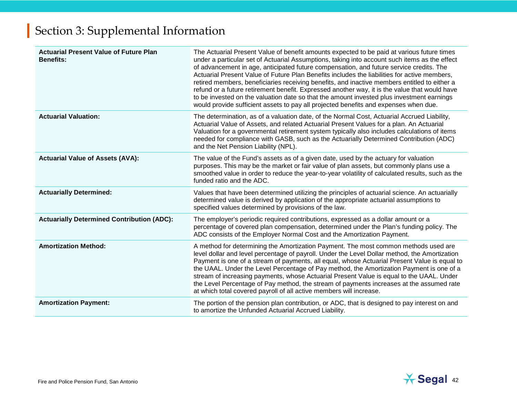| <b>Actuarial Present Value of Future Plan</b><br><b>Benefits:</b> | The Actuarial Present Value of benefit amounts expected to be paid at various future times<br>under a particular set of Actuarial Assumptions, taking into account such items as the effect<br>of advancement in age, anticipated future compensation, and future service credits. The<br>Actuarial Present Value of Future Plan Benefits includes the liabilities for active members,<br>retired members, beneficiaries receiving benefits, and inactive members entitled to either a<br>refund or a future retirement benefit. Expressed another way, it is the value that would have<br>to be invested on the valuation date so that the amount invested plus investment earnings<br>would provide sufficient assets to pay all projected benefits and expenses when due. |
|-------------------------------------------------------------------|------------------------------------------------------------------------------------------------------------------------------------------------------------------------------------------------------------------------------------------------------------------------------------------------------------------------------------------------------------------------------------------------------------------------------------------------------------------------------------------------------------------------------------------------------------------------------------------------------------------------------------------------------------------------------------------------------------------------------------------------------------------------------|
| <b>Actuarial Valuation:</b>                                       | The determination, as of a valuation date, of the Normal Cost, Actuarial Accrued Liability,<br>Actuarial Value of Assets, and related Actuarial Present Values for a plan. An Actuarial<br>Valuation for a governmental retirement system typically also includes calculations of items<br>needed for compliance with GASB, such as the Actuarially Determined Contribution (ADC)<br>and the Net Pension Liability (NPL).                                                                                                                                                                                                                                                                                                                                                    |
| <b>Actuarial Value of Assets (AVA):</b>                           | The value of the Fund's assets as of a given date, used by the actuary for valuation<br>purposes. This may be the market or fair value of plan assets, but commonly plans use a<br>smoothed value in order to reduce the year-to-year volatility of calculated results, such as the<br>funded ratio and the ADC.                                                                                                                                                                                                                                                                                                                                                                                                                                                             |
| <b>Actuarially Determined:</b>                                    | Values that have been determined utilizing the principles of actuarial science. An actuarially<br>determined value is derived by application of the appropriate actuarial assumptions to<br>specified values determined by provisions of the law.                                                                                                                                                                                                                                                                                                                                                                                                                                                                                                                            |
| <b>Actuarially Determined Contribution (ADC):</b>                 | The employer's periodic required contributions, expressed as a dollar amount or a<br>percentage of covered plan compensation, determined under the Plan's funding policy. The<br>ADC consists of the Employer Normal Cost and the Amortization Payment.                                                                                                                                                                                                                                                                                                                                                                                                                                                                                                                      |
| <b>Amortization Method:</b>                                       | A method for determining the Amortization Payment. The most common methods used are<br>level dollar and level percentage of payroll. Under the Level Dollar method, the Amortization<br>Payment is one of a stream of payments, all equal, whose Actuarial Present Value is equal to<br>the UAAL. Under the Level Percentage of Pay method, the Amortization Payment is one of a<br>stream of increasing payments, whose Actuarial Present Value is equal to the UAAL. Under<br>the Level Percentage of Pay method, the stream of payments increases at the assumed rate<br>at which total covered payroll of all active members will increase.                                                                                                                              |
| <b>Amortization Payment:</b>                                      | The portion of the pension plan contribution, or ADC, that is designed to pay interest on and<br>to amortize the Unfunded Actuarial Accrued Liability.                                                                                                                                                                                                                                                                                                                                                                                                                                                                                                                                                                                                                       |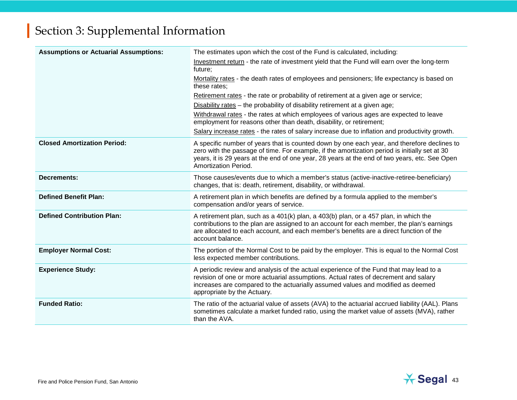| <b>Assumptions or Actuarial Assumptions:</b> | The estimates upon which the cost of the Fund is calculated, including:                                                                                                                                                                                                                                               |
|----------------------------------------------|-----------------------------------------------------------------------------------------------------------------------------------------------------------------------------------------------------------------------------------------------------------------------------------------------------------------------|
|                                              | Investment return - the rate of investment yield that the Fund will earn over the long-term<br>future;                                                                                                                                                                                                                |
|                                              | Mortality rates - the death rates of employees and pensioners; life expectancy is based on<br>these rates;                                                                                                                                                                                                            |
|                                              | Retirement rates - the rate or probability of retirement at a given age or service;                                                                                                                                                                                                                                   |
|                                              | Disability rates – the probability of disability retirement at a given age;                                                                                                                                                                                                                                           |
|                                              | Withdrawal rates - the rates at which employees of various ages are expected to leave<br>employment for reasons other than death, disability, or retirement;                                                                                                                                                          |
|                                              | Salary increase rates - the rates of salary increase due to inflation and productivity growth.                                                                                                                                                                                                                        |
| <b>Closed Amortization Period:</b>           | A specific number of years that is counted down by one each year, and therefore declines to<br>zero with the passage of time. For example, if the amortization period is initially set at 30<br>years, it is 29 years at the end of one year, 28 years at the end of two years, etc. See Open<br>Amortization Period. |
| <b>Decrements:</b>                           | Those causes/events due to which a member's status (active-inactive-retiree-beneficiary)<br>changes, that is: death, retirement, disability, or withdrawal.                                                                                                                                                           |
| <b>Defined Benefit Plan:</b>                 | A retirement plan in which benefits are defined by a formula applied to the member's<br>compensation and/or years of service.                                                                                                                                                                                         |
| <b>Defined Contribution Plan:</b>            | A retirement plan, such as a 401(k) plan, a 403(b) plan, or a 457 plan, in which the<br>contributions to the plan are assigned to an account for each member, the plan's earnings<br>are allocated to each account, and each member's benefits are a direct function of the<br>account balance.                       |
| <b>Employer Normal Cost:</b>                 | The portion of the Normal Cost to be paid by the employer. This is equal to the Normal Cost<br>less expected member contributions.                                                                                                                                                                                    |
| <b>Experience Study:</b>                     | A periodic review and analysis of the actual experience of the Fund that may lead to a<br>revision of one or more actuarial assumptions. Actual rates of decrement and salary<br>increases are compared to the actuarially assumed values and modified as deemed<br>appropriate by the Actuary.                       |
| <b>Funded Ratio:</b>                         | The ratio of the actuarial value of assets (AVA) to the actuarial accrued liability (AAL). Plans<br>sometimes calculate a market funded ratio, using the market value of assets (MVA), rather<br>than the AVA.                                                                                                        |

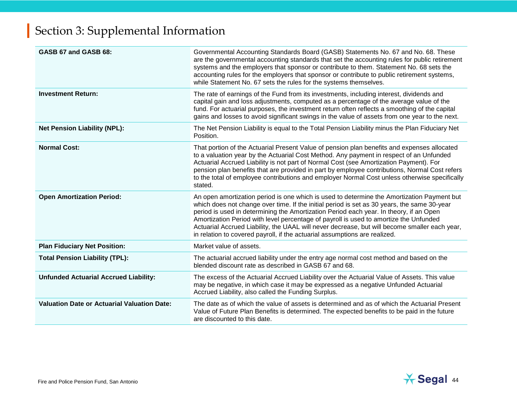| GASB 67 and GASB 68:                               | Governmental Accounting Standards Board (GASB) Statements No. 67 and No. 68. These<br>are the governmental accounting standards that set the accounting rules for public retirement<br>systems and the employers that sponsor or contribute to them. Statement No. 68 sets the<br>accounting rules for the employers that sponsor or contribute to public retirement systems,<br>while Statement No. 67 sets the rules for the systems themselves.                                                                                                          |
|----------------------------------------------------|-------------------------------------------------------------------------------------------------------------------------------------------------------------------------------------------------------------------------------------------------------------------------------------------------------------------------------------------------------------------------------------------------------------------------------------------------------------------------------------------------------------------------------------------------------------|
| <b>Investment Return:</b>                          | The rate of earnings of the Fund from its investments, including interest, dividends and<br>capital gain and loss adjustments, computed as a percentage of the average value of the<br>fund. For actuarial purposes, the investment return often reflects a smoothing of the capital<br>gains and losses to avoid significant swings in the value of assets from one year to the next.                                                                                                                                                                      |
| <b>Net Pension Liability (NPL):</b>                | The Net Pension Liability is equal to the Total Pension Liability minus the Plan Fiduciary Net<br>Position.                                                                                                                                                                                                                                                                                                                                                                                                                                                 |
| <b>Normal Cost:</b>                                | That portion of the Actuarial Present Value of pension plan benefits and expenses allocated<br>to a valuation year by the Actuarial Cost Method. Any payment in respect of an Unfunded<br>Actuarial Accrued Liability is not part of Normal Cost (see Amortization Payment). For<br>pension plan benefits that are provided in part by employee contributions, Normal Cost refers<br>to the total of employee contributions and employer Normal Cost unless otherwise specifically<br>stated.                                                               |
| <b>Open Amortization Period:</b>                   | An open amortization period is one which is used to determine the Amortization Payment but<br>which does not change over time. If the initial period is set as 30 years, the same 30-year<br>period is used in determining the Amortization Period each year. In theory, if an Open<br>Amortization Period with level percentage of payroll is used to amortize the Unfunded<br>Actuarial Accrued Liability, the UAAL will never decrease, but will become smaller each year,<br>in relation to covered payroll, if the actuarial assumptions are realized. |
| <b>Plan Fiduciary Net Position:</b>                | Market value of assets.                                                                                                                                                                                                                                                                                                                                                                                                                                                                                                                                     |
| <b>Total Pension Liability (TPL):</b>              | The actuarial accrued liability under the entry age normal cost method and based on the<br>blended discount rate as described in GASB 67 and 68.                                                                                                                                                                                                                                                                                                                                                                                                            |
| <b>Unfunded Actuarial Accrued Liability:</b>       | The excess of the Actuarial Accrued Liability over the Actuarial Value of Assets. This value<br>may be negative, in which case it may be expressed as a negative Unfunded Actuarial<br>Accrued Liability, also called the Funding Surplus.                                                                                                                                                                                                                                                                                                                  |
| <b>Valuation Date or Actuarial Valuation Date:</b> | The date as of which the value of assets is determined and as of which the Actuarial Present<br>Value of Future Plan Benefits is determined. The expected benefits to be paid in the future<br>are discounted to this date.                                                                                                                                                                                                                                                                                                                                 |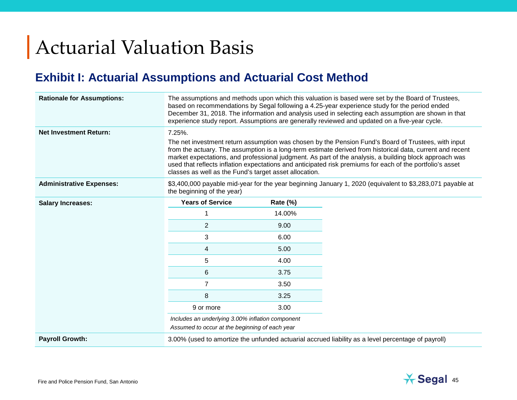# Actuarial Valuation Basis

#### **Exhibit I: Actuarial Assumptions and Actuarial Cost Method**

| <b>Rationale for Assumptions:</b> |                                                                                                                                                                                                                                                                                                                                                                                            |          | The assumptions and methods upon which this valuation is based were set by the Board of Trustees,<br>based on recommendations by Segal following a 4.25-year experience study for the period ended<br>December 31, 2018. The information and analysis used in selecting each assumption are shown in that<br>experience study report. Assumptions are generally reviewed and updated on a five-year cycle. |  |  |  |
|-----------------------------------|--------------------------------------------------------------------------------------------------------------------------------------------------------------------------------------------------------------------------------------------------------------------------------------------------------------------------------------------------------------------------------------------|----------|------------------------------------------------------------------------------------------------------------------------------------------------------------------------------------------------------------------------------------------------------------------------------------------------------------------------------------------------------------------------------------------------------------|--|--|--|
| <b>Net Investment Return:</b>     | 7.25%.                                                                                                                                                                                                                                                                                                                                                                                     |          | The net investment return assumption was chosen by the Pension Fund's Board of Trustees, with input                                                                                                                                                                                                                                                                                                        |  |  |  |
|                                   | from the actuary. The assumption is a long-term estimate derived from historical data, current and recent<br>market expectations, and professional judgment. As part of the analysis, a building block approach was<br>used that reflects inflation expectations and anticipated risk premiums for each of the portfolio's asset<br>classes as well as the Fund's target asset allocation. |          |                                                                                                                                                                                                                                                                                                                                                                                                            |  |  |  |
| <b>Administrative Expenses:</b>   | the beginning of the year)                                                                                                                                                                                                                                                                                                                                                                 |          | \$3,400,000 payable mid-year for the year beginning January 1, 2020 (equivalent to \$3,283,071 payable at                                                                                                                                                                                                                                                                                                  |  |  |  |
| <b>Salary Increases:</b>          | <b>Years of Service</b>                                                                                                                                                                                                                                                                                                                                                                    | Rate (%) |                                                                                                                                                                                                                                                                                                                                                                                                            |  |  |  |
|                                   |                                                                                                                                                                                                                                                                                                                                                                                            | 14.00%   |                                                                                                                                                                                                                                                                                                                                                                                                            |  |  |  |
|                                   | $\overline{2}$                                                                                                                                                                                                                                                                                                                                                                             | 9.00     |                                                                                                                                                                                                                                                                                                                                                                                                            |  |  |  |
|                                   | 3                                                                                                                                                                                                                                                                                                                                                                                          | 6.00     |                                                                                                                                                                                                                                                                                                                                                                                                            |  |  |  |
|                                   | 4                                                                                                                                                                                                                                                                                                                                                                                          | 5.00     |                                                                                                                                                                                                                                                                                                                                                                                                            |  |  |  |
|                                   | 5                                                                                                                                                                                                                                                                                                                                                                                          | 4.00     |                                                                                                                                                                                                                                                                                                                                                                                                            |  |  |  |
|                                   | 6                                                                                                                                                                                                                                                                                                                                                                                          | 3.75     |                                                                                                                                                                                                                                                                                                                                                                                                            |  |  |  |
|                                   | $\overline{7}$                                                                                                                                                                                                                                                                                                                                                                             | 3.50     |                                                                                                                                                                                                                                                                                                                                                                                                            |  |  |  |
|                                   | 8                                                                                                                                                                                                                                                                                                                                                                                          | 3.25     |                                                                                                                                                                                                                                                                                                                                                                                                            |  |  |  |
|                                   | 9 or more                                                                                                                                                                                                                                                                                                                                                                                  | 3.00     |                                                                                                                                                                                                                                                                                                                                                                                                            |  |  |  |
|                                   | Includes an underlying 3.00% inflation component<br>Assumed to occur at the beginning of each year                                                                                                                                                                                                                                                                                         |          |                                                                                                                                                                                                                                                                                                                                                                                                            |  |  |  |
| <b>Payroll Growth:</b>            |                                                                                                                                                                                                                                                                                                                                                                                            |          | 3.00% (used to amortize the unfunded actuarial accrued liability as a level percentage of payroll)                                                                                                                                                                                                                                                                                                         |  |  |  |

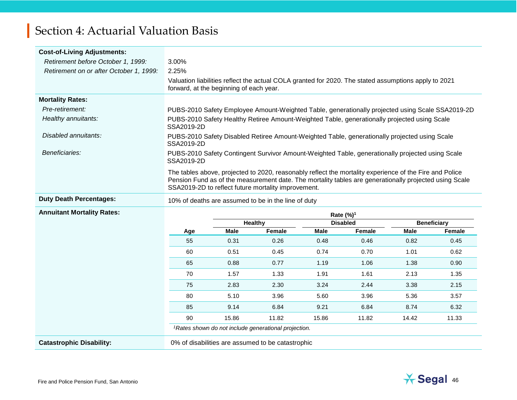| <b>Cost-of-Living Adjustments:</b>      |                                                                                                                                                                                                                                                                          |
|-----------------------------------------|--------------------------------------------------------------------------------------------------------------------------------------------------------------------------------------------------------------------------------------------------------------------------|
| Retirement before October 1, 1999:      | 3.00%                                                                                                                                                                                                                                                                    |
| Retirement on or after October 1, 1999: | 2.25%                                                                                                                                                                                                                                                                    |
|                                         | Valuation liabilities reflect the actual COLA granted for 2020. The stated assumptions apply to 2021<br>forward, at the beginning of each year.                                                                                                                          |
| <b>Mortality Rates:</b>                 |                                                                                                                                                                                                                                                                          |
| Pre-retirement:                         | PUBS-2010 Safety Employee Amount-Weighted Table, generationally projected using Scale SSA2019-2D                                                                                                                                                                         |
| Healthy annuitants:                     | PUBS-2010 Safety Healthy Retiree Amount-Weighted Table, generationally projected using Scale<br>SSA2019-2D                                                                                                                                                               |
| Disabled annuitants:                    | PUBS-2010 Safety Disabled Retiree Amount-Weighted Table, generationally projected using Scale<br>SSA2019-2D                                                                                                                                                              |
| Beneficiaries:                          | PUBS-2010 Safety Contingent Survivor Amount-Weighted Table, generationally projected using Scale<br>SSA2019-2D                                                                                                                                                           |
|                                         | The tables above, projected to 2020, reasonably reflect the mortality experience of the Fire and Police<br>Pension Fund as of the measurement date. The mortality tables are generationally projected using Scale<br>SSA2019-2D to reflect future mortality improvement. |
| <b>Duty Death Percentages:</b>          | 10% of deaths are assumed to be in the line of duty                                                                                                                                                                                                                      |

#### **Annuitant Mortality Rates:**

| minuitant mortality Rates: |     |       |                                                                            |       | Rate (%) <sup>1</sup> |       |                    |
|----------------------------|-----|-------|----------------------------------------------------------------------------|-------|-----------------------|-------|--------------------|
|                            |     |       | <b>Healthy</b>                                                             |       | <b>Disabled</b>       |       | <b>Beneficiary</b> |
|                            | Age | Male  | Female                                                                     | Male  | Female                | Male  | Female             |
|                            | 55  | 0.31  | 0.26                                                                       | 0.48  | 0.46                  | 0.82  | 0.45               |
|                            | 60  | 0.51  | 0.45                                                                       | 0.74  | 0.70                  | 1.01  | 0.62               |
|                            | 65  | 0.88  | 0.77                                                                       | 1.19  | 1.06                  | 1.38  | 0.90               |
|                            | 70  | 1.57  | 1.33                                                                       | 1.91  | 1.61                  | 2.13  | 1.35               |
|                            | 75  | 2.83  | 2.30                                                                       | 3.24  | 2.44                  | 3.38  | 2.15               |
|                            | 80  | 5.10  | 3.96                                                                       | 5.60  | 3.96                  | 5.36  | 3.57               |
|                            | 85  | 9.14  | 6.84                                                                       | 9.21  | 6.84                  | 8.74  | 6.32               |
|                            | 90  | 15.86 | 11.82                                                                      | 15.86 | 11.82                 | 14.42 | 11.33              |
|                            |     |       | 1 Detected the computer and the children concentration of a set of the set |       |                       |       |                    |

*1Rates shown do not include generational projection.*

Catastrophic Disability: 0% of disabilities are assumed to be catastrophic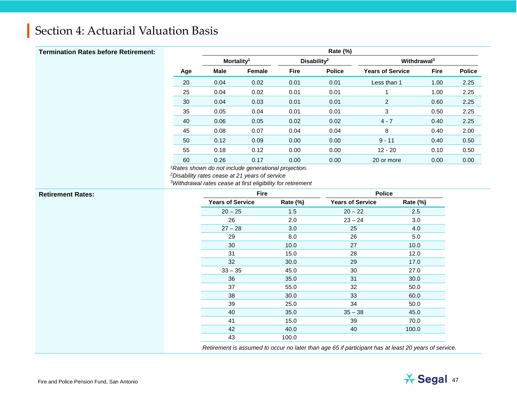| <b>Termination Rates before Retirement:</b> |     | Rate (%)               |        |             |                         |                         |             |               |
|---------------------------------------------|-----|------------------------|--------|-------------|-------------------------|-------------------------|-------------|---------------|
|                                             |     | Mortality <sup>1</sup> |        |             | Disability <sup>2</sup> | Withdrawal <sup>3</sup> |             |               |
|                                             | Age | Male                   | Female | <b>Fire</b> | <b>Police</b>           | <b>Years of Service</b> | <b>Fire</b> | <b>Police</b> |
|                                             | 20  | 0.04                   | 0.02   | 0.01        | 0.01                    | Less than 1             | 1.00        | 2.25          |
|                                             | 25  | 0.04                   | 0.02   | 0.01        | 0.01                    |                         | 1.00        | 2.25          |
|                                             | 30  | 0.04                   | 0.03   | 0.01        | 0.01                    | $\overline{2}$          | 0.60        | 2.25          |
|                                             | 35  | 0.05                   | 0.04   | 0.01        | 0.01                    | 3                       | 0.50        | 2.25          |
|                                             | 40  | 0.06                   | 0.05   | 0.02        | 0.02                    | $4 - 7$                 | 0.40        | 2.25          |
|                                             | 45  | 0.08                   | 0.07   | 0.04        | 0.04                    | 8                       | 0.40        | 2.00          |
|                                             | 50  | 0.12                   | 0.09   | 0.00        | 0.00                    | $9 - 11$                | 0.40        | 0.50          |
|                                             | 55  | 0.18                   | 0.12   | 0.00        | 0.00                    | $12 - 20$               | 0.10        | 0.50          |
|                                             | 60  | 0.26                   | 0.17   | 0.00        | 0.00                    | 20 or more              | 0.00        | 0.00          |

*1Rates shown do not include generational projection.*

*2Disability rates cease at 21 years of service*

*3Withdrawal rates cease at first eligibility for retirement*

| <b>Retirement Rates:</b> | Fire                    |          | <b>Police</b>           |          |
|--------------------------|-------------------------|----------|-------------------------|----------|
|                          | <b>Years of Service</b> | Rate (%) | <b>Years of Service</b> | Rate (%) |
|                          | $20 - 25$               | 1.5      | $20 - 22$               | 2.5      |
|                          | 26                      | 2.0      | $23 - 24$               | 3.0      |
|                          | $27 - 28$               | 3.0      | 25                      | 4.0      |
|                          | 29                      | 8.0      | 26                      | 5.0      |
|                          | 30                      | 10.0     | 27                      | 10.0     |
|                          | 31                      | 15.0     | 28                      | 12.0     |
|                          | 32                      | 30.0     | 29                      | 17.0     |
|                          | $33 - 35$               | 45.0     | 30                      | 27.0     |
|                          | 36                      | 35.0     | 31                      | 30.0     |
|                          | 37                      | 55.0     | 32                      | 50.0     |
|                          | 38                      | 30.0     | 33                      | 60.0     |
|                          | 39                      | 25.0     | 34                      | 50.0     |
|                          | 40                      | 35.0     | $35 - 38$               | 45.0     |
|                          | 41                      | 15.0     | 39                      | 70.0     |
|                          | 42                      | 40.0     | 40                      | 100.0    |
|                          | 43                      | 100.0    |                         |          |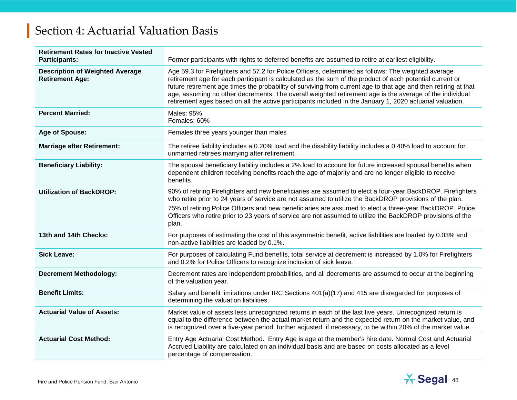| <b>Retirement Rates for Inactive Vested</b><br><b>Participants:</b> | Former participants with rights to deferred benefits are assumed to retire at earliest eligibility.                                                                                                                                                                                                                                                                                                                                                                                                                                                        |
|---------------------------------------------------------------------|------------------------------------------------------------------------------------------------------------------------------------------------------------------------------------------------------------------------------------------------------------------------------------------------------------------------------------------------------------------------------------------------------------------------------------------------------------------------------------------------------------------------------------------------------------|
| <b>Description of Weighted Average</b><br><b>Retirement Age:</b>    | Age 59.3 for Firefighters and 57.2 for Police Officers, determined as follows: The weighted average<br>retirement age for each participant is calculated as the sum of the product of each potential current or<br>future retirement age times the probability of surviving from current age to that age and then retiring at that<br>age, assuming no other decrements. The overall weighted retirement age is the average of the individual<br>retirement ages based on all the active participants included in the January 1, 2020 actuarial valuation. |
| <b>Percent Married:</b>                                             | Males: 95%<br>Females: 60%                                                                                                                                                                                                                                                                                                                                                                                                                                                                                                                                 |
| Age of Spouse:                                                      | Females three years younger than males                                                                                                                                                                                                                                                                                                                                                                                                                                                                                                                     |
| <b>Marriage after Retirement:</b>                                   | The retiree liability includes a 0.20% load and the disability liability includes a 0.40% load to account for<br>unmarried retirees marrying after retirement.                                                                                                                                                                                                                                                                                                                                                                                             |
| <b>Beneficiary Liability:</b>                                       | The spousal beneficiary liability includes a 2% load to account for future increased spousal benefits when<br>dependent children receiving benefits reach the age of majority and are no longer eligible to receive<br>benefits.                                                                                                                                                                                                                                                                                                                           |
| <b>Utilization of BackDROP:</b>                                     | 90% of retiring Firefighters and new beneficiaries are assumed to elect a four-year BackDROP. Firefighters<br>who retire prior to 24 years of service are not assumed to utilize the BackDROP provisions of the plan.<br>75% of retiring Police Officers and new beneficiaries are assumed to elect a three-year BackDROP. Police<br>Officers who retire prior to 23 years of service are not assumed to utilize the BackDROP provisions of the<br>plan.                                                                                                   |
| 13th and 14th Checks:                                               | For purposes of estimating the cost of this asymmetric benefit, active liabilities are loaded by 0.03% and<br>non-active liabilities are loaded by 0.1%.                                                                                                                                                                                                                                                                                                                                                                                                   |
| <b>Sick Leave:</b>                                                  | For purposes of calculating Fund benefits, total service at decrement is increased by 1.0% for Firefighters<br>and 0.2% for Police Officers to recognize inclusion of sick leave.                                                                                                                                                                                                                                                                                                                                                                          |
| <b>Decrement Methodology:</b>                                       | Decrement rates are independent probabilities, and all decrements are assumed to occur at the beginning<br>of the valuation year.                                                                                                                                                                                                                                                                                                                                                                                                                          |
| <b>Benefit Limits:</b>                                              | Salary and benefit limitations under IRC Sections 401(a)(17) and 415 are disregarded for purposes of<br>determining the valuation liabilities.                                                                                                                                                                                                                                                                                                                                                                                                             |
| <b>Actuarial Value of Assets:</b>                                   | Market value of assets less unrecognized returns in each of the last five years. Unrecognized return is<br>equal to the difference between the actual market return and the expected return on the market value, and<br>is recognized over a five-year period, further adjusted, if necessary, to be within 20% of the market value.                                                                                                                                                                                                                       |
| <b>Actuarial Cost Method:</b>                                       | Entry Age Actuarial Cost Method. Entry Age is age at the member's hire date. Normal Cost and Actuarial<br>Accrued Liability are calculated on an individual basis and are based on costs allocated as a level<br>percentage of compensation.                                                                                                                                                                                                                                                                                                               |

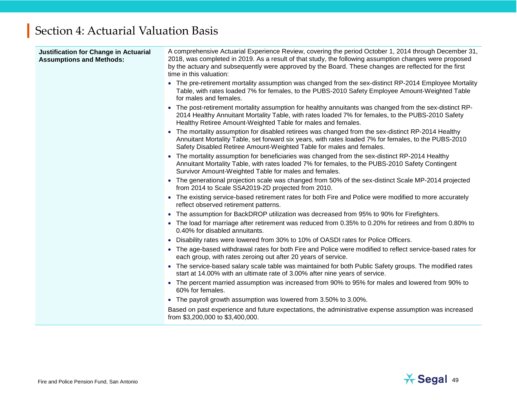| Justification for Change in Actuarial<br><b>Assumptions and Methods:</b> | A comprehensive Actuarial Experience Review, covering the period October 1, 2014 through December 31,<br>2018, was completed in 2019. As a result of that study, the following assumption changes were proposed<br>by the actuary and subsequently were approved by the Board. These changes are reflected for the first<br>time in this valuation: |
|--------------------------------------------------------------------------|-----------------------------------------------------------------------------------------------------------------------------------------------------------------------------------------------------------------------------------------------------------------------------------------------------------------------------------------------------|
|                                                                          | • The pre-retirement mortality assumption was changed from the sex-distinct RP-2014 Employee Mortality<br>Table, with rates loaded 7% for females, to the PUBS-2010 Safety Employee Amount-Weighted Table<br>for males and females.                                                                                                                 |
|                                                                          | • The post-retirement mortality assumption for healthy annuitants was changed from the sex-distinct RP-<br>2014 Healthy Annuitant Mortality Table, with rates loaded 7% for females, to the PUBS-2010 Safety<br>Healthy Retiree Amount-Weighted Table for males and females.                                                                        |
|                                                                          | • The mortality assumption for disabled retirees was changed from the sex-distinct RP-2014 Healthy<br>Annuitant Mortality Table, set forward six years, with rates loaded 7% for females, to the PUBS-2010<br>Safety Disabled Retiree Amount-Weighted Table for males and females.                                                                  |
|                                                                          | The mortality assumption for beneficiaries was changed from the sex-distinct RP-2014 Healthy<br>Annuitant Mortality Table, with rates loaded 7% for females, to the PUBS-2010 Safety Contingent<br>Survivor Amount-Weighted Table for males and females.                                                                                            |
|                                                                          | • The generational projection scale was changed from 50% of the sex-distinct Scale MP-2014 projected<br>from 2014 to Scale SSA2019-2D projected from 2010.                                                                                                                                                                                          |
|                                                                          | • The existing service-based retirement rates for both Fire and Police were modified to more accurately<br>reflect observed retirement patterns.                                                                                                                                                                                                    |
|                                                                          | • The assumption for BackDROP utilization was decreased from 95% to 90% for Firefighters.                                                                                                                                                                                                                                                           |
|                                                                          | • The load for marriage after retirement was reduced from 0.35% to 0.20% for retirees and from 0.80% to<br>0.40% for disabled annuitants.                                                                                                                                                                                                           |
|                                                                          | • Disability rates were lowered from 30% to 10% of OASDI rates for Police Officers.                                                                                                                                                                                                                                                                 |
|                                                                          | • The age-based withdrawal rates for both Fire and Police were modified to reflect service-based rates for<br>each group, with rates zeroing out after 20 years of service.                                                                                                                                                                         |
|                                                                          | The service-based salary scale table was maintained for both Public Safety groups. The modified rates<br>$\bullet$<br>start at 14.00% with an ultimate rate of 3.00% after nine years of service.                                                                                                                                                   |
|                                                                          | • The percent married assumption was increased from 90% to 95% for males and lowered from 90% to<br>60% for females.                                                                                                                                                                                                                                |
|                                                                          | • The payroll growth assumption was lowered from 3.50% to 3.00%.                                                                                                                                                                                                                                                                                    |
|                                                                          | Based on past experience and future expectations, the administrative expense assumption was increased<br>from \$3,200,000 to \$3,400,000.                                                                                                                                                                                                           |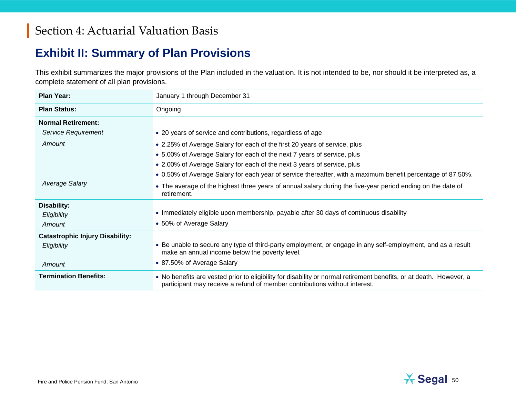#### **Exhibit II: Summary of Plan Provisions**

This exhibit summarizes the major provisions of the Plan included in the valuation. It is not intended to be, nor should it be interpreted as, a complete statement of all plan provisions.

| <b>Plan Year:</b>                      | January 1 through December 31                                                                                                                                                                     |
|----------------------------------------|---------------------------------------------------------------------------------------------------------------------------------------------------------------------------------------------------|
| <b>Plan Status:</b>                    | Ongoing                                                                                                                                                                                           |
| <b>Normal Retirement:</b>              |                                                                                                                                                                                                   |
| Service Requirement                    | • 20 years of service and contributions, regardless of age                                                                                                                                        |
| Amount                                 | • 2.25% of Average Salary for each of the first 20 years of service, plus                                                                                                                         |
|                                        | • 5.00% of Average Salary for each of the next 7 years of service, plus                                                                                                                           |
|                                        | • 2.00% of Average Salary for each of the next 3 years of service, plus                                                                                                                           |
|                                        | • 0.50% of Average Salary for each year of service thereafter, with a maximum benefit percentage of 87.50%.                                                                                       |
| Average Salary                         | • The average of the highest three years of annual salary during the five-year period ending on the date of<br>retirement.                                                                        |
| Disability:                            |                                                                                                                                                                                                   |
| Eligibility                            | • Immediately eligible upon membership, payable after 30 days of continuous disability                                                                                                            |
| Amount                                 | • 50% of Average Salary                                                                                                                                                                           |
| <b>Catastrophic Injury Disability:</b> |                                                                                                                                                                                                   |
| Eligibility                            | • Be unable to secure any type of third-party employment, or engage in any self-employment, and as a result<br>make an annual income below the poverty level.                                     |
| Amount                                 | • 87.50% of Average Salary                                                                                                                                                                        |
| <b>Termination Benefits:</b>           | • No benefits are vested prior to eligibility for disability or normal retirement benefits, or at death. However, a<br>participant may receive a refund of member contributions without interest. |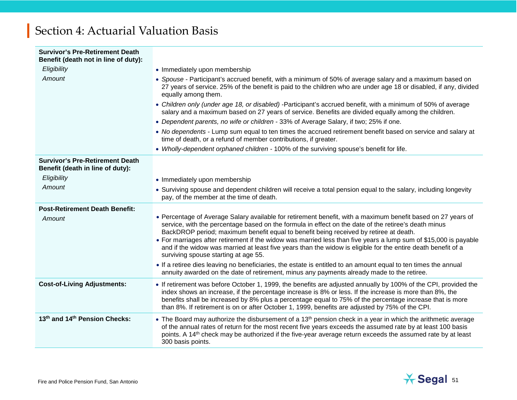| <b>Survivor's Pre-Retirement Death</b><br>Benefit (death not in line of duty): |                                                                                                                                                                                                                                                                                                                                                                                                                                                                                                                                                                                            |
|--------------------------------------------------------------------------------|--------------------------------------------------------------------------------------------------------------------------------------------------------------------------------------------------------------------------------------------------------------------------------------------------------------------------------------------------------------------------------------------------------------------------------------------------------------------------------------------------------------------------------------------------------------------------------------------|
| Eligibility                                                                    | • Immediately upon membership                                                                                                                                                                                                                                                                                                                                                                                                                                                                                                                                                              |
| Amount                                                                         | • Spouse - Participant's accrued benefit, with a minimum of 50% of average salary and a maximum based on<br>27 years of service. 25% of the benefit is paid to the children who are under age 18 or disabled, if any, divided<br>equally among them.                                                                                                                                                                                                                                                                                                                                       |
|                                                                                | • Children only (under age 18, or disabled) -Participant's accrued benefit, with a minimum of 50% of average<br>salary and a maximum based on 27 years of service. Benefits are divided equally among the children.                                                                                                                                                                                                                                                                                                                                                                        |
|                                                                                | • Dependent parents, no wife or children - 33% of Average Salary, if two; 25% if one.                                                                                                                                                                                                                                                                                                                                                                                                                                                                                                      |
|                                                                                | • No dependents - Lump sum equal to ten times the accrued retirement benefit based on service and salary at<br>time of death, or a refund of member contributions, if greater.                                                                                                                                                                                                                                                                                                                                                                                                             |
|                                                                                | . Wholly-dependent orphaned children - 100% of the surviving spouse's benefit for life.                                                                                                                                                                                                                                                                                                                                                                                                                                                                                                    |
| <b>Survivor's Pre-Retirement Death</b><br>Benefit (death in line of duty):     |                                                                                                                                                                                                                                                                                                                                                                                                                                                                                                                                                                                            |
| Eligibility                                                                    | • Immediately upon membership                                                                                                                                                                                                                                                                                                                                                                                                                                                                                                                                                              |
| Amount                                                                         | • Surviving spouse and dependent children will receive a total pension equal to the salary, including longevity<br>pay, of the member at the time of death.                                                                                                                                                                                                                                                                                                                                                                                                                                |
| <b>Post-Retirement Death Benefit:</b>                                          |                                                                                                                                                                                                                                                                                                                                                                                                                                                                                                                                                                                            |
| Amount                                                                         | • Percentage of Average Salary available for retirement benefit, with a maximum benefit based on 27 years of<br>service, with the percentage based on the formula in effect on the date of the retiree's death minus<br>BackDROP period; maximum benefit equal to benefit being received by retiree at death.<br>• For marriages after retirement if the widow was married less than five years a lump sum of \$15,000 is payable<br>and if the widow was married at least five years than the widow is eligible for the entire death benefit of a<br>surviving spouse starting at age 55. |
|                                                                                | • If a retiree dies leaving no beneficiaries, the estate is entitled to an amount equal to ten times the annual<br>annuity awarded on the date of retirement, minus any payments already made to the retiree.                                                                                                                                                                                                                                                                                                                                                                              |
| <b>Cost-of-Living Adjustments:</b>                                             | • If retirement was before October 1, 1999, the benefits are adjusted annually by 100% of the CPI, provided the<br>index shows an increase, if the percentage increase is 8% or less. If the increase is more than 8%, the<br>benefits shall be increased by 8% plus a percentage equal to 75% of the percentage increase that is more<br>than 8%. If retirement is on or after October 1, 1999, benefits are adjusted by 75% of the CPI.                                                                                                                                                  |
| 13th and 14th Pension Checks:                                                  | • The Board may authorize the disbursement of a 13 <sup>th</sup> pension check in a year in which the arithmetic average<br>of the annual rates of return for the most recent five years exceeds the assumed rate by at least 100 basis<br>points. A 14 <sup>th</sup> check may be authorized if the five-year average return exceeds the assumed rate by at least<br>300 basis points.                                                                                                                                                                                                    |